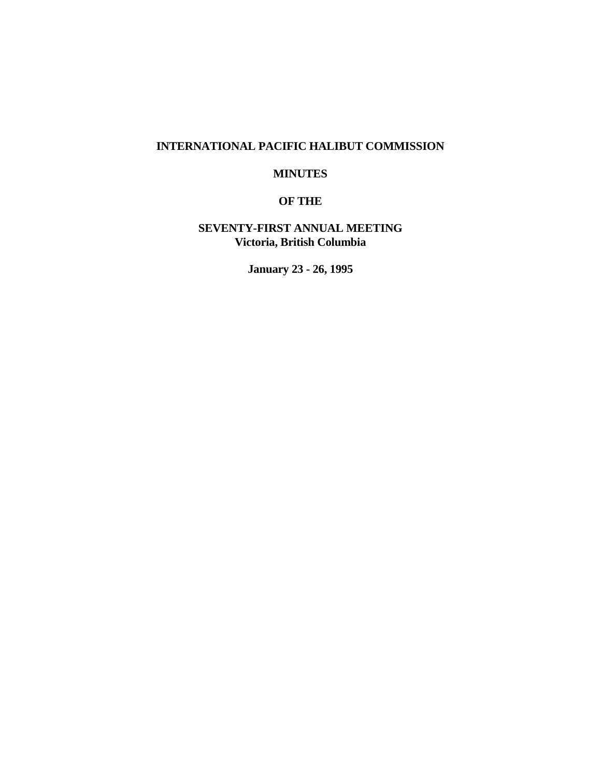# **INTERNATIONAL PACIFIC HALIBUT COMMISSION**

# **MINUTES**

# **OF THE**

# **SEVENTY-FIRST ANNUAL MEETING Victoria, British Columbia**

**January 23 - 26, 1995**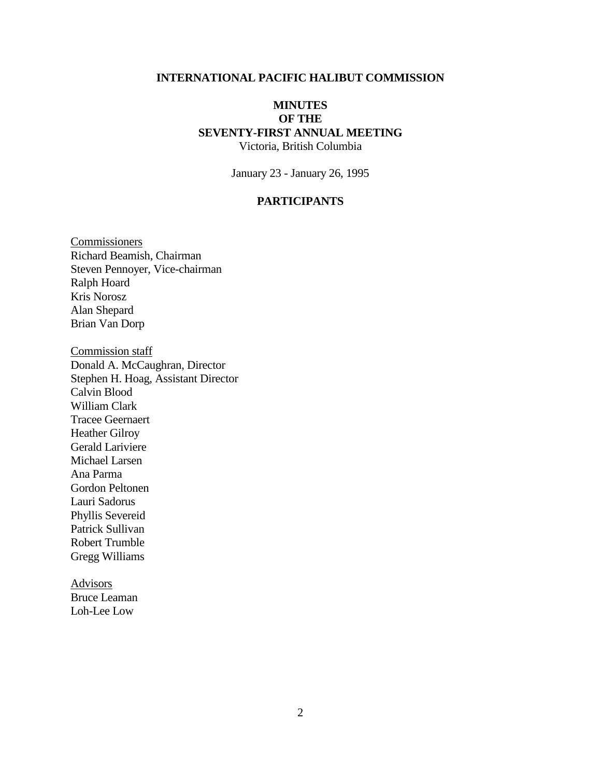## **INTERNATIONAL PACIFIC HALIBUT COMMISSION**

# **MINUTES OF THE SEVENTY-FIRST ANNUAL MEETING** Victoria, British Columbia

January 23 - January 26, 1995

#### **PARTICIPANTS**

**Commissioners** Richard Beamish, Chairman Steven Pennoyer, Vice-chairman Ralph Hoard Kris Norosz Alan Shepard Brian Van Dorp

Commission staff Donald A. McCaughran, Director Stephen H. Hoag, Assistant Director Calvin Blood William Clark Tracee Geernaert Heather Gilroy Gerald Lariviere Michael Larsen Ana Parma Gordon Peltonen Lauri Sadorus Phyllis Severeid Patrick Sullivan Robert Trumble Gregg Williams

Advisors Bruce Leaman Loh-Lee Low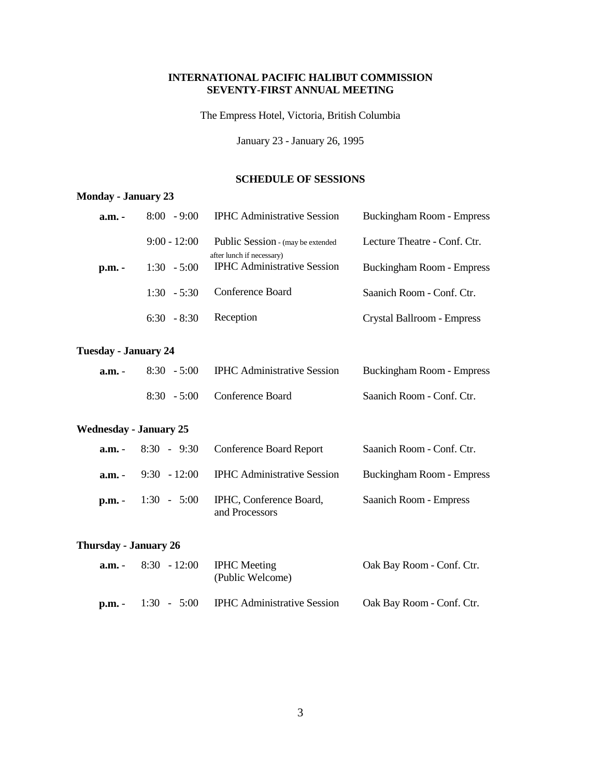## **INTERNATIONAL PACIFIC HALIBUT COMMISSION SEVENTY-FIRST ANNUAL MEETING**

The Empress Hotel, Victoria, British Columbia

January 23 - January 26, 1995

### **SCHEDULE OF SESSIONS**

# **Monday - January 23**

| a.m. - | $8:00 - 9:00$  | <b>IPHC</b> Administrative Session                             | <b>Buckingham Room - Empress</b> |
|--------|----------------|----------------------------------------------------------------|----------------------------------|
|        | $9:00 - 12:00$ | Public Session - (may be extended<br>after lunch if necessary) | Lecture Theatre - Conf. Ctr.     |
| p.m. - | $1:30 - 5:00$  | <b>IPHC</b> Administrative Session                             | Buckingham Room - Empress        |
|        | $1:30 - 5:30$  | Conference Board                                               | Saanich Room - Conf. Ctr.        |
|        | $6:30 - 8:30$  | Reception                                                      | Crystal Ballroom - Empress       |

#### **Tuesday - January 24**

| a.m. - | $8:30 - 5:00$ | <b>IPHC</b> Administrative Session | Buckingham Room - Empress |
|--------|---------------|------------------------------------|---------------------------|
|        |               | 8:30 - 5:00 Conference Board       | Saanich Room - Conf. Ctr. |

# **Wednesday - January 25**

|          | $a.m. - 8:30 - 9:30$ Conference Board Report                                    | Saanich Room - Conf. Ctr. |
|----------|---------------------------------------------------------------------------------|---------------------------|
| $a.m. -$ | 9:30 - 12:00 IPHC Administrative Session                                        | Buckingham Room - Empress |
|          | $\mathbf{p}.\mathbf{m}$ . 1:30 - 5:00 IPHC, Conference Board,<br>and Processors | Saanich Room - Empress    |

#### **Thursday - January 26**

| a.m. -                    | $8:30 - 12:00$ IPHC Meeting<br>(Public Welcome) | Oak Bay Room - Conf. Ctr. |
|---------------------------|-------------------------------------------------|---------------------------|
| $\mathbf{D}.\mathbf{m}$ . | 1:30 - 5:00 IPHC Administrative Session         | Oak Bay Room - Conf. Ctr. |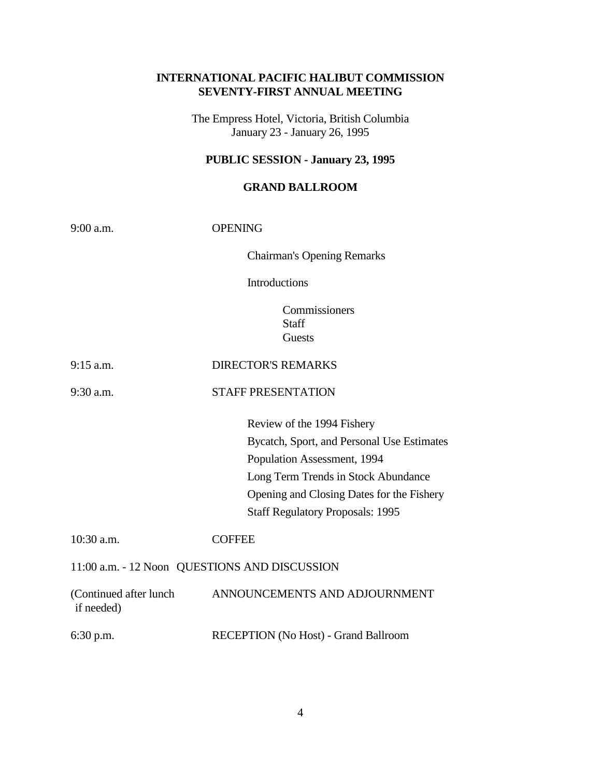# **INTERNATIONAL PACIFIC HALIBUT COMMISSION SEVENTY-FIRST ANNUAL MEETING**

The Empress Hotel, Victoria, British Columbia January 23 - January 26, 1995

# **PUBLIC SESSION - January 23, 1995**

## **GRAND BALLROOM**

| 9:00 a.m.                                     | <b>OPENING</b>                                                                                                                                                                                                                         |  |
|-----------------------------------------------|----------------------------------------------------------------------------------------------------------------------------------------------------------------------------------------------------------------------------------------|--|
|                                               | <b>Chairman's Opening Remarks</b>                                                                                                                                                                                                      |  |
|                                               | Introductions                                                                                                                                                                                                                          |  |
|                                               | Commissioners<br>Staff<br>Guests                                                                                                                                                                                                       |  |
| $9:15$ a.m.                                   | <b>DIRECTOR'S REMARKS</b>                                                                                                                                                                                                              |  |
| 9:30 a.m.                                     | <b>STAFF PRESENTATION</b>                                                                                                                                                                                                              |  |
|                                               | Review of the 1994 Fishery<br>Bycatch, Sport, and Personal Use Estimates<br>Population Assessment, 1994<br>Long Term Trends in Stock Abundance<br>Opening and Closing Dates for the Fishery<br><b>Staff Regulatory Proposals: 1995</b> |  |
| 10:30 a.m.                                    | <b>COFFEE</b>                                                                                                                                                                                                                          |  |
| 11:00 a.m. - 12 Noon QUESTIONS AND DISCUSSION |                                                                                                                                                                                                                                        |  |
| (Continued after lunch)<br>if needed)         | ANNOUNCEMENTS AND ADJOURNMENT                                                                                                                                                                                                          |  |
| 6:30 p.m.                                     | RECEPTION (No Host) - Grand Ballroom                                                                                                                                                                                                   |  |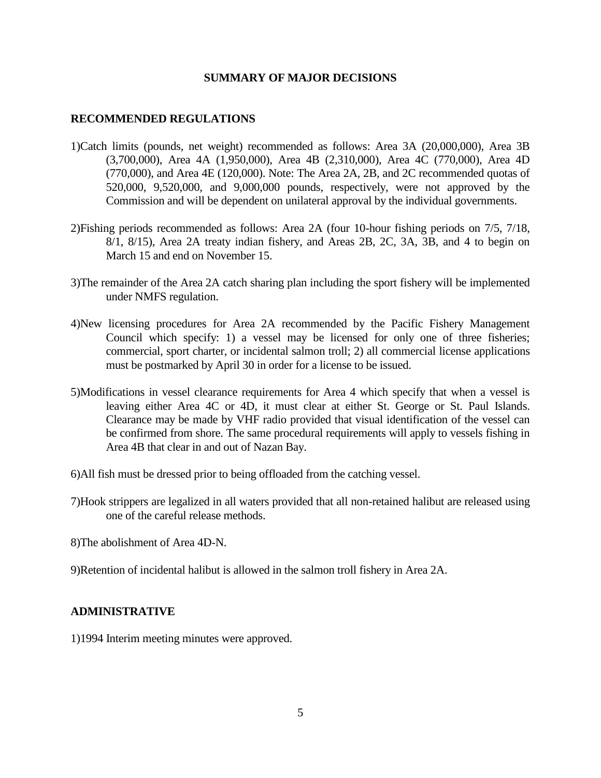## **SUMMARY OF MAJOR DECISIONS**

## **RECOMMENDED REGULATIONS**

- 1)Catch limits (pounds, net weight) recommended as follows: Area 3A (20,000,000), Area 3B (3,700,000), Area 4A (1,950,000), Area 4B (2,310,000), Area 4C (770,000), Area 4D (770,000), and Area 4E (120,000). Note: The Area 2A, 2B, and 2C recommended quotas of 520,000, 9,520,000, and 9,000,000 pounds, respectively, were not approved by the Commission and will be dependent on unilateral approval by the individual governments.
- 2)Fishing periods recommended as follows: Area 2A (four 10-hour fishing periods on 7/5, 7/18, 8/1, 8/15), Area 2A treaty indian fishery, and Areas 2B, 2C, 3A, 3B, and 4 to begin on March 15 and end on November 15.
- 3)The remainder of the Area 2A catch sharing plan including the sport fishery will be implemented under NMFS regulation.
- 4)New licensing procedures for Area 2A recommended by the Pacific Fishery Management Council which specify: 1) a vessel may be licensed for only one of three fisheries; commercial, sport charter, or incidental salmon troll; 2) all commercial license applications must be postmarked by April 30 in order for a license to be issued.
- 5)Modifications in vessel clearance requirements for Area 4 which specify that when a vessel is leaving either Area 4C or 4D, it must clear at either St. George or St. Paul Islands. Clearance may be made by VHF radio provided that visual identification of the vessel can be confirmed from shore. The same procedural requirements will apply to vessels fishing in Area 4B that clear in and out of Nazan Bay.
- 6)All fish must be dressed prior to being offloaded from the catching vessel.
- 7)Hook strippers are legalized in all waters provided that all non-retained halibut are released using one of the careful release methods.
- 8)The abolishment of Area 4D-N.
- 9)Retention of incidental halibut is allowed in the salmon troll fishery in Area 2A.

## **ADMINISTRATIVE**

1)1994 Interim meeting minutes were approved.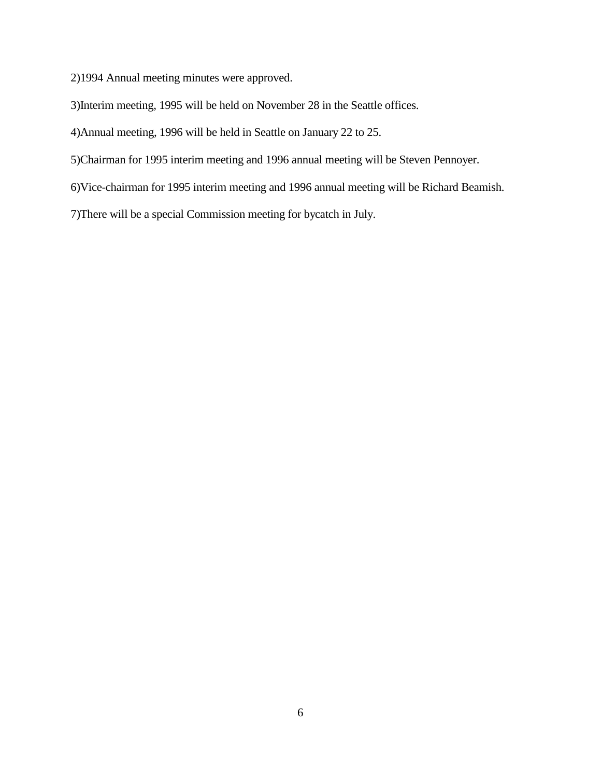2)1994 Annual meeting minutes were approved.

3)Interim meeting, 1995 will be held on November 28 in the Seattle offices.

4)Annual meeting, 1996 will be held in Seattle on January 22 to 25.

5)Chairman for 1995 interim meeting and 1996 annual meeting will be Steven Pennoyer.

6)Vice-chairman for 1995 interim meeting and 1996 annual meeting will be Richard Beamish.

7)There will be a special Commission meeting for bycatch in July.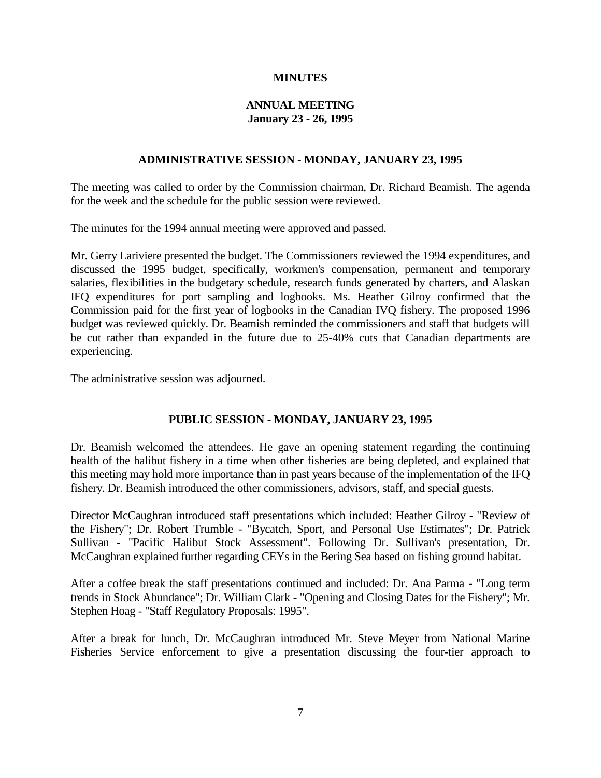## **MINUTES**

## **ANNUAL MEETING January 23 - 26, 1995**

## **ADMINISTRATIVE SESSION - MONDAY, JANUARY 23, 1995**

The meeting was called to order by the Commission chairman, Dr. Richard Beamish. The agenda for the week and the schedule for the public session were reviewed.

The minutes for the 1994 annual meeting were approved and passed.

Mr. Gerry Lariviere presented the budget. The Commissioners reviewed the 1994 expenditures, and discussed the 1995 budget, specifically, workmen's compensation, permanent and temporary salaries, flexibilities in the budgetary schedule, research funds generated by charters, and Alaskan IFQ expenditures for port sampling and logbooks. Ms. Heather Gilroy confirmed that the Commission paid for the first year of logbooks in the Canadian IVQ fishery. The proposed 1996 budget was reviewed quickly. Dr. Beamish reminded the commissioners and staff that budgets will be cut rather than expanded in the future due to 25-40% cuts that Canadian departments are experiencing.

The administrative session was adjourned.

## **PUBLIC SESSION - MONDAY, JANUARY 23, 1995**

Dr. Beamish welcomed the attendees. He gave an opening statement regarding the continuing health of the halibut fishery in a time when other fisheries are being depleted, and explained that this meeting may hold more importance than in past years because of the implementation of the IFQ fishery. Dr. Beamish introduced the other commissioners, advisors, staff, and special guests.

Director McCaughran introduced staff presentations which included: Heather Gilroy - "Review of the Fishery"; Dr. Robert Trumble - "Bycatch, Sport, and Personal Use Estimates"; Dr. Patrick Sullivan - "Pacific Halibut Stock Assessment". Following Dr. Sullivan's presentation, Dr. McCaughran explained further regarding CEYs in the Bering Sea based on fishing ground habitat.

After a coffee break the staff presentations continued and included: Dr. Ana Parma - "Long term trends in Stock Abundance"; Dr. William Clark - "Opening and Closing Dates for the Fishery"; Mr. Stephen Hoag - "Staff Regulatory Proposals: 1995".

After a break for lunch, Dr. McCaughran introduced Mr. Steve Meyer from National Marine Fisheries Service enforcement to give a presentation discussing the four-tier approach to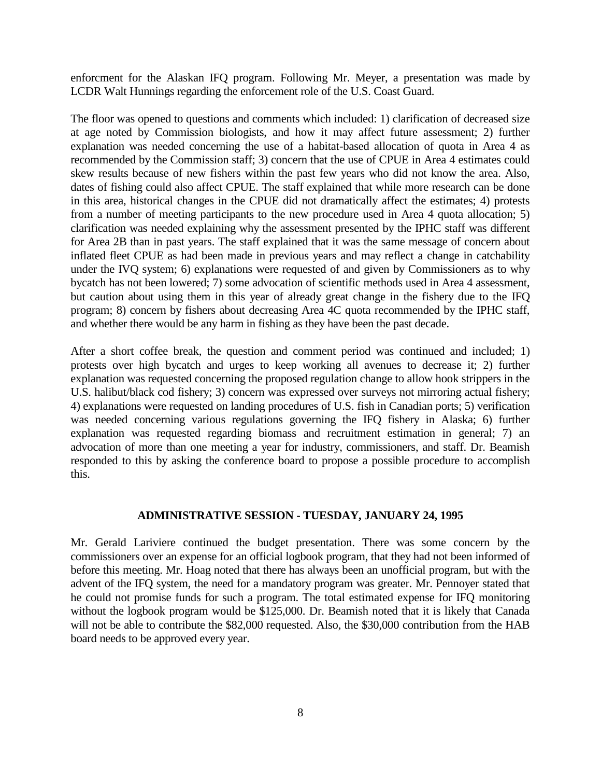enforcment for the Alaskan IFQ program. Following Mr. Meyer, a presentation was made by LCDR Walt Hunnings regarding the enforcement role of the U.S. Coast Guard.

The floor was opened to questions and comments which included: 1) clarification of decreased size at age noted by Commission biologists, and how it may affect future assessment; 2) further explanation was needed concerning the use of a habitat-based allocation of quota in Area 4 as recommended by the Commission staff; 3) concern that the use of CPUE in Area 4 estimates could skew results because of new fishers within the past few years who did not know the area. Also, dates of fishing could also affect CPUE. The staff explained that while more research can be done in this area, historical changes in the CPUE did not dramatically affect the estimates; 4) protests from a number of meeting participants to the new procedure used in Area 4 quota allocation; 5) clarification was needed explaining why the assessment presented by the IPHC staff was different for Area 2B than in past years. The staff explained that it was the same message of concern about inflated fleet CPUE as had been made in previous years and may reflect a change in catchability under the IVQ system; 6) explanations were requested of and given by Commissioners as to why bycatch has not been lowered; 7) some advocation of scientific methods used in Area 4 assessment, but caution about using them in this year of already great change in the fishery due to the IFQ program; 8) concern by fishers about decreasing Area 4C quota recommended by the IPHC staff, and whether there would be any harm in fishing as they have been the past decade.

After a short coffee break, the question and comment period was continued and included; 1) protests over high bycatch and urges to keep working all avenues to decrease it; 2) further explanation was requested concerning the proposed regulation change to allow hook strippers in the U.S. halibut/black cod fishery; 3) concern was expressed over surveys not mirroring actual fishery; 4) explanations were requested on landing procedures of U.S. fish in Canadian ports; 5) verification was needed concerning various regulations governing the IFQ fishery in Alaska; 6) further explanation was requested regarding biomass and recruitment estimation in general; 7) an advocation of more than one meeting a year for industry, commissioners, and staff. Dr. Beamish responded to this by asking the conference board to propose a possible procedure to accomplish this.

### **ADMINISTRATIVE SESSION - TUESDAY, JANUARY 24, 1995**

Mr. Gerald Lariviere continued the budget presentation. There was some concern by the commissioners over an expense for an official logbook program, that they had not been informed of before this meeting. Mr. Hoag noted that there has always been an unofficial program, but with the advent of the IFQ system, the need for a mandatory program was greater. Mr. Pennoyer stated that he could not promise funds for such a program. The total estimated expense for IFQ monitoring without the logbook program would be \$125,000. Dr. Beamish noted that it is likely that Canada will not be able to contribute the \$82,000 requested. Also, the \$30,000 contribution from the HAB board needs to be approved every year.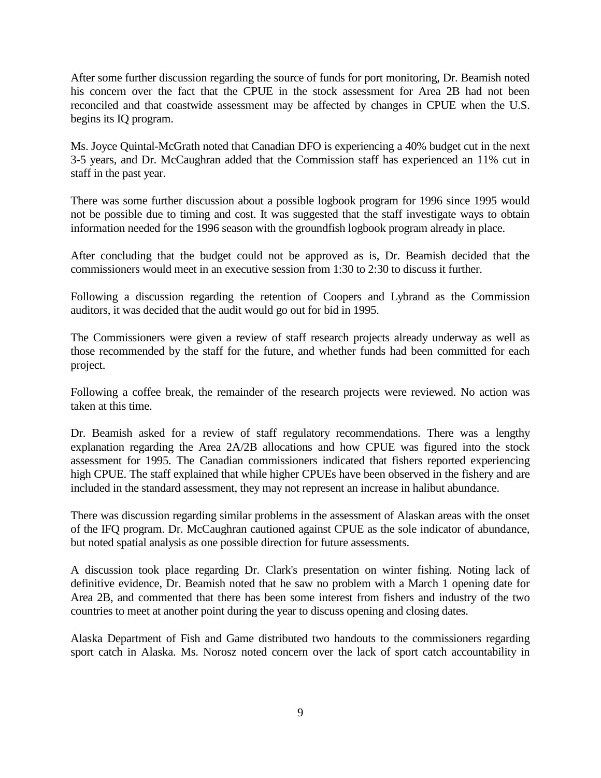After some further discussion regarding the source of funds for port monitoring, Dr. Beamish noted his concern over the fact that the CPUE in the stock assessment for Area 2B had not been reconciled and that coastwide assessment may be affected by changes in CPUE when the U.S. begins its IQ program.

Ms. Joyce Quintal-McGrath noted that Canadian DFO is experiencing a 40% budget cut in the next 3-5 years, and Dr. McCaughran added that the Commission staff has experienced an 11% cut in staff in the past year.

There was some further discussion about a possible logbook program for 1996 since 1995 would not be possible due to timing and cost. It was suggested that the staff investigate ways to obtain information needed for the 1996 season with the groundfish logbook program already in place.

After concluding that the budget could not be approved as is, Dr. Beamish decided that the commissioners would meet in an executive session from 1:30 to 2:30 to discuss it further.

Following a discussion regarding the retention of Coopers and Lybrand as the Commission auditors, it was decided that the audit would go out for bid in 1995.

The Commissioners were given a review of staff research projects already underway as well as those recommended by the staff for the future, and whether funds had been committed for each project.

Following a coffee break, the remainder of the research projects were reviewed. No action was taken at this time.

Dr. Beamish asked for a review of staff regulatory recommendations. There was a lengthy explanation regarding the Area 2A/2B allocations and how CPUE was figured into the stock assessment for 1995. The Canadian commissioners indicated that fishers reported experiencing high CPUE. The staff explained that while higher CPUEs have been observed in the fishery and are included in the standard assessment, they may not represent an increase in halibut abundance.

There was discussion regarding similar problems in the assessment of Alaskan areas with the onset of the IFQ program. Dr. McCaughran cautioned against CPUE as the sole indicator of abundance, but noted spatial analysis as one possible direction for future assessments.

A discussion took place regarding Dr. Clark's presentation on winter fishing. Noting lack of definitive evidence, Dr. Beamish noted that he saw no problem with a March 1 opening date for Area 2B, and commented that there has been some interest from fishers and industry of the two countries to meet at another point during the year to discuss opening and closing dates.

Alaska Department of Fish and Game distributed two handouts to the commissioners regarding sport catch in Alaska. Ms. Norosz noted concern over the lack of sport catch accountability in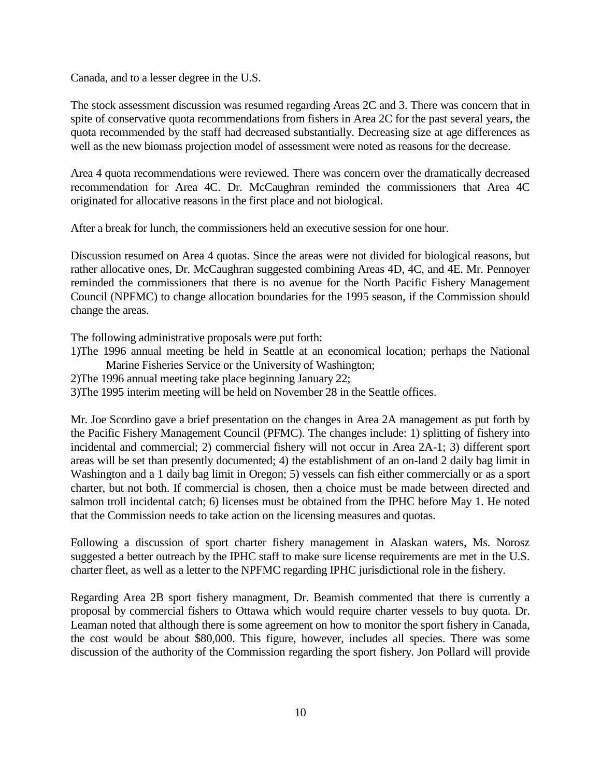Canada, and to a lesser degree in the U.S.

The stock assessment discussion was resumed regarding Areas 2C and 3. There was concern that in spite of conservative quota recommendations from fishers in Area 2C for the past several years, the quota recommended by the staff had decreased substantially. Decreasing size at age differences as well as the new biomass projection model of assessment were noted as reasons for the decrease.

Area 4 quota recommendations were reviewed. There was concern over the dramatically decreased recommendation for Area 4C. Dr. McCaughran reminded the commissioners that Area 4C originated for allocative reasons in the first place and not biological.

After a break for lunch, the commissioners held an executive session for one hour.

Discussion resumed on Area 4 quotas. Since the areas were not divided for biological reasons, but rather allocative ones, Dr. McCaughran suggested combining Areas 4D, 4C, and 4E. Mr. Pennoyer reminded the commissioners that there is no avenue for the North Pacific Fishery Management Council (NPFMC) to change allocation boundaries for the 1995 season, if the Commission should change the areas.

The following administrative proposals were put forth:

- 1)The 1996 annual meeting be held in Seattle at an economical location; perhaps the National Marine Fisheries Service or the University of Washington;
- 2)The 1996 annual meeting take place beginning January 22;

3)The 1995 interim meeting will be held on November 28 in the Seattle offices.

Mr. Joe Scordino gave a brief presentation on the changes in Area 2A management as put forth by the Pacific Fishery Management Council (PFMC). The changes include: 1) splitting of fishery into incidental and commercial; 2) commercial fishery will not occur in Area 2A-1; 3) different sport areas will be set than presently documented; 4) the establishment of an on-land 2 daily bag limit in Washington and a 1 daily bag limit in Oregon; 5) vessels can fish either commercially or as a sport charter, but not both. If commercial is chosen, then a choice must be made between directed and salmon troll incidental catch; 6) licenses must be obtained from the IPHC before May 1. He noted that the Commission needs to take action on the licensing measures and quotas.

Following a discussion of sport charter fishery management in Alaskan waters, Ms. Norosz suggested a better outreach by the IPHC staff to make sure license requirements are met in the U.S. charter fleet, as well as a letter to the NPFMC regarding IPHC jurisdictional role in the fishery.

Regarding Area 2B sport fishery managment, Dr. Beamish commented that there is currently a proposal by commercial fishers to Ottawa which would require charter vessels to buy quota. Dr. Leaman noted that although there is some agreement on how to monitor the sport fishery in Canada, the cost would be about \$80,000. This figure, however, includes all species. There was some discussion of the authority of the Commission regarding the sport fishery. Jon Pollard will provide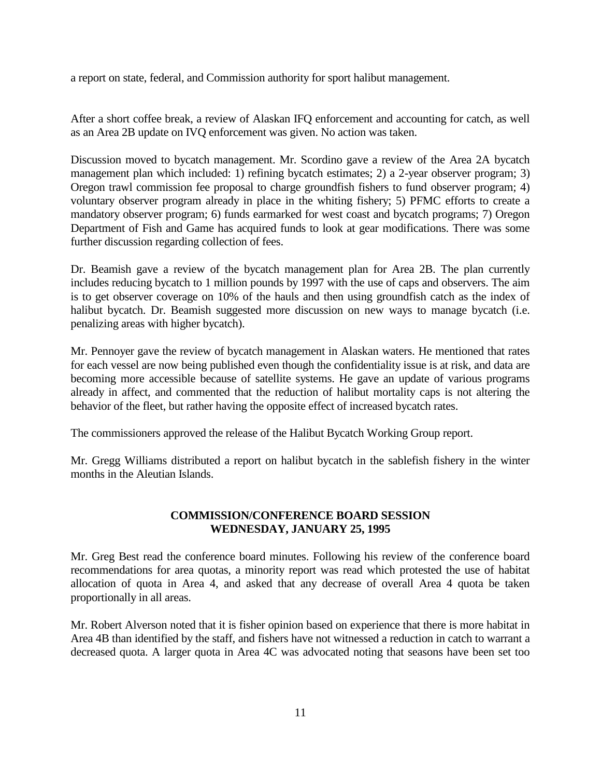a report on state, federal, and Commission authority for sport halibut management.

After a short coffee break, a review of Alaskan IFQ enforcement and accounting for catch, as well as an Area 2B update on IVQ enforcement was given. No action was taken.

Discussion moved to bycatch management. Mr. Scordino gave a review of the Area 2A bycatch management plan which included: 1) refining bycatch estimates; 2) a 2-year observer program; 3) Oregon trawl commission fee proposal to charge groundfish fishers to fund observer program; 4) voluntary observer program already in place in the whiting fishery; 5) PFMC efforts to create a mandatory observer program; 6) funds earmarked for west coast and bycatch programs; 7) Oregon Department of Fish and Game has acquired funds to look at gear modifications. There was some further discussion regarding collection of fees.

Dr. Beamish gave a review of the bycatch management plan for Area 2B. The plan currently includes reducing bycatch to 1 million pounds by 1997 with the use of caps and observers. The aim is to get observer coverage on 10% of the hauls and then using groundfish catch as the index of halibut bycatch. Dr. Beamish suggested more discussion on new ways to manage bycatch (i.e. penalizing areas with higher bycatch).

Mr. Pennoyer gave the review of bycatch management in Alaskan waters. He mentioned that rates for each vessel are now being published even though the confidentiality issue is at risk, and data are becoming more accessible because of satellite systems. He gave an update of various programs already in affect, and commented that the reduction of halibut mortality caps is not altering the behavior of the fleet, but rather having the opposite effect of increased bycatch rates.

The commissioners approved the release of the Halibut Bycatch Working Group report.

Mr. Gregg Williams distributed a report on halibut bycatch in the sablefish fishery in the winter months in the Aleutian Islands.

# **COMMISSION/CONFERENCE BOARD SESSION WEDNESDAY, JANUARY 25, 1995**

Mr. Greg Best read the conference board minutes. Following his review of the conference board recommendations for area quotas, a minority report was read which protested the use of habitat allocation of quota in Area 4, and asked that any decrease of overall Area 4 quota be taken proportionally in all areas.

Mr. Robert Alverson noted that it is fisher opinion based on experience that there is more habitat in Area 4B than identified by the staff, and fishers have not witnessed a reduction in catch to warrant a decreased quota. A larger quota in Area 4C was advocated noting that seasons have been set too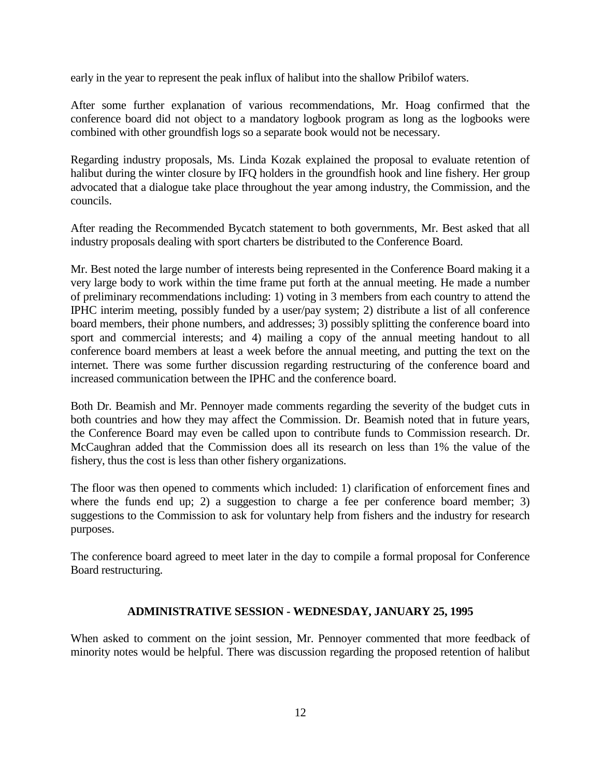early in the year to represent the peak influx of halibut into the shallow Pribilof waters.

After some further explanation of various recommendations, Mr. Hoag confirmed that the conference board did not object to a mandatory logbook program as long as the logbooks were combined with other groundfish logs so a separate book would not be necessary.

Regarding industry proposals, Ms. Linda Kozak explained the proposal to evaluate retention of halibut during the winter closure by IFQ holders in the groundfish hook and line fishery. Her group advocated that a dialogue take place throughout the year among industry, the Commission, and the councils.

After reading the Recommended Bycatch statement to both governments, Mr. Best asked that all industry proposals dealing with sport charters be distributed to the Conference Board.

Mr. Best noted the large number of interests being represented in the Conference Board making it a very large body to work within the time frame put forth at the annual meeting. He made a number of preliminary recommendations including: 1) voting in 3 members from each country to attend the IPHC interim meeting, possibly funded by a user/pay system; 2) distribute a list of all conference board members, their phone numbers, and addresses; 3) possibly splitting the conference board into sport and commercial interests; and 4) mailing a copy of the annual meeting handout to all conference board members at least a week before the annual meeting, and putting the text on the internet. There was some further discussion regarding restructuring of the conference board and increased communication between the IPHC and the conference board.

Both Dr. Beamish and Mr. Pennoyer made comments regarding the severity of the budget cuts in both countries and how they may affect the Commission. Dr. Beamish noted that in future years, the Conference Board may even be called upon to contribute funds to Commission research. Dr. McCaughran added that the Commission does all its research on less than 1% the value of the fishery, thus the cost is less than other fishery organizations.

The floor was then opened to comments which included: 1) clarification of enforcement fines and where the funds end up; 2) a suggestion to charge a fee per conference board member; 3) suggestions to the Commission to ask for voluntary help from fishers and the industry for research purposes.

The conference board agreed to meet later in the day to compile a formal proposal for Conference Board restructuring.

## **ADMINISTRATIVE SESSION - WEDNESDAY, JANUARY 25, 1995**

When asked to comment on the joint session, Mr. Pennoyer commented that more feedback of minority notes would be helpful. There was discussion regarding the proposed retention of halibut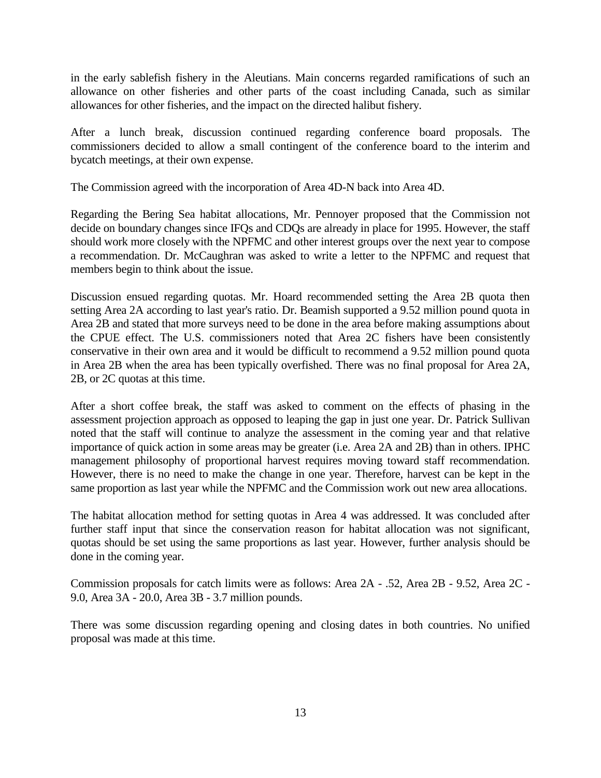in the early sablefish fishery in the Aleutians. Main concerns regarded ramifications of such an allowance on other fisheries and other parts of the coast including Canada, such as similar allowances for other fisheries, and the impact on the directed halibut fishery.

After a lunch break, discussion continued regarding conference board proposals. The commissioners decided to allow a small contingent of the conference board to the interim and bycatch meetings, at their own expense.

The Commission agreed with the incorporation of Area 4D-N back into Area 4D.

Regarding the Bering Sea habitat allocations, Mr. Pennoyer proposed that the Commission not decide on boundary changes since IFQs and CDQs are already in place for 1995. However, the staff should work more closely with the NPFMC and other interest groups over the next year to compose a recommendation. Dr. McCaughran was asked to write a letter to the NPFMC and request that members begin to think about the issue.

Discussion ensued regarding quotas. Mr. Hoard recommended setting the Area 2B quota then setting Area 2A according to last year's ratio. Dr. Beamish supported a 9.52 million pound quota in Area 2B and stated that more surveys need to be done in the area before making assumptions about the CPUE effect. The U.S. commissioners noted that Area 2C fishers have been consistently conservative in their own area and it would be difficult to recommend a 9.52 million pound quota in Area 2B when the area has been typically overfished. There was no final proposal for Area 2A, 2B, or 2C quotas at this time.

After a short coffee break, the staff was asked to comment on the effects of phasing in the assessment projection approach as opposed to leaping the gap in just one year. Dr. Patrick Sullivan noted that the staff will continue to analyze the assessment in the coming year and that relative importance of quick action in some areas may be greater (i.e. Area 2A and 2B) than in others. IPHC management philosophy of proportional harvest requires moving toward staff recommendation. However, there is no need to make the change in one year. Therefore, harvest can be kept in the same proportion as last year while the NPFMC and the Commission work out new area allocations.

The habitat allocation method for setting quotas in Area 4 was addressed. It was concluded after further staff input that since the conservation reason for habitat allocation was not significant, quotas should be set using the same proportions as last year. However, further analysis should be done in the coming year.

Commission proposals for catch limits were as follows: Area 2A - .52, Area 2B - 9.52, Area 2C - 9.0, Area 3A - 20.0, Area 3B - 3.7 million pounds.

There was some discussion regarding opening and closing dates in both countries. No unified proposal was made at this time.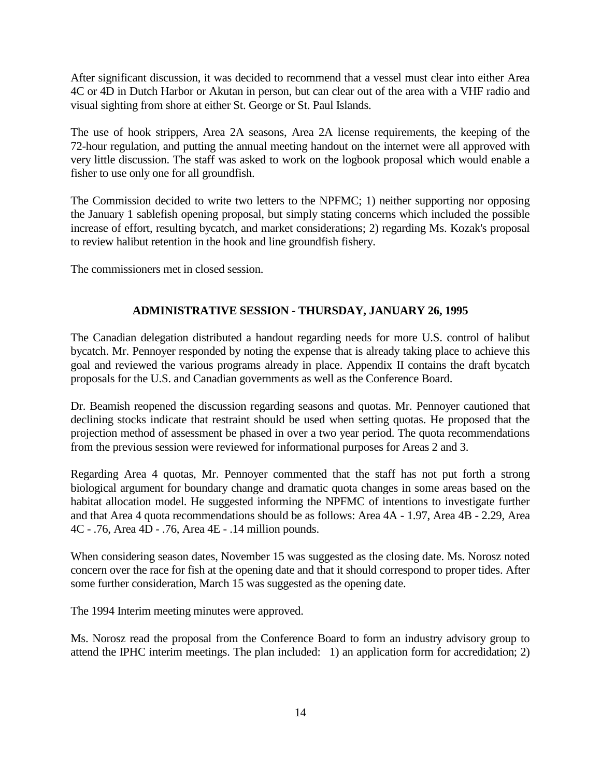After significant discussion, it was decided to recommend that a vessel must clear into either Area 4C or 4D in Dutch Harbor or Akutan in person, but can clear out of the area with a VHF radio and visual sighting from shore at either St. George or St. Paul Islands.

The use of hook strippers, Area 2A seasons, Area 2A license requirements, the keeping of the 72-hour regulation, and putting the annual meeting handout on the internet were all approved with very little discussion. The staff was asked to work on the logbook proposal which would enable a fisher to use only one for all groundfish.

The Commission decided to write two letters to the NPFMC; 1) neither supporting nor opposing the January 1 sablefish opening proposal, but simply stating concerns which included the possible increase of effort, resulting bycatch, and market considerations; 2) regarding Ms. Kozak's proposal to review halibut retention in the hook and line groundfish fishery.

The commissioners met in closed session.

# **ADMINISTRATIVE SESSION - THURSDAY, JANUARY 26, 1995**

The Canadian delegation distributed a handout regarding needs for more U.S. control of halibut bycatch. Mr. Pennoyer responded by noting the expense that is already taking place to achieve this goal and reviewed the various programs already in place. Appendix II contains the draft bycatch proposals for the U.S. and Canadian governments as well as the Conference Board.

Dr. Beamish reopened the discussion regarding seasons and quotas. Mr. Pennoyer cautioned that declining stocks indicate that restraint should be used when setting quotas. He proposed that the projection method of assessment be phased in over a two year period. The quota recommendations from the previous session were reviewed for informational purposes for Areas 2 and 3.

Regarding Area 4 quotas, Mr. Pennoyer commented that the staff has not put forth a strong biological argument for boundary change and dramatic quota changes in some areas based on the habitat allocation model. He suggested informing the NPFMC of intentions to investigate further and that Area 4 quota recommendations should be as follows: Area 4A - 1.97, Area 4B - 2.29, Area 4C - .76, Area 4D - .76, Area 4E - .14 million pounds.

When considering season dates, November 15 was suggested as the closing date. Ms. Norosz noted concern over the race for fish at the opening date and that it should correspond to proper tides. After some further consideration, March 15 was suggested as the opening date.

The 1994 Interim meeting minutes were approved.

Ms. Norosz read the proposal from the Conference Board to form an industry advisory group to attend the IPHC interim meetings. The plan included: 1) an application form for accredidation; 2)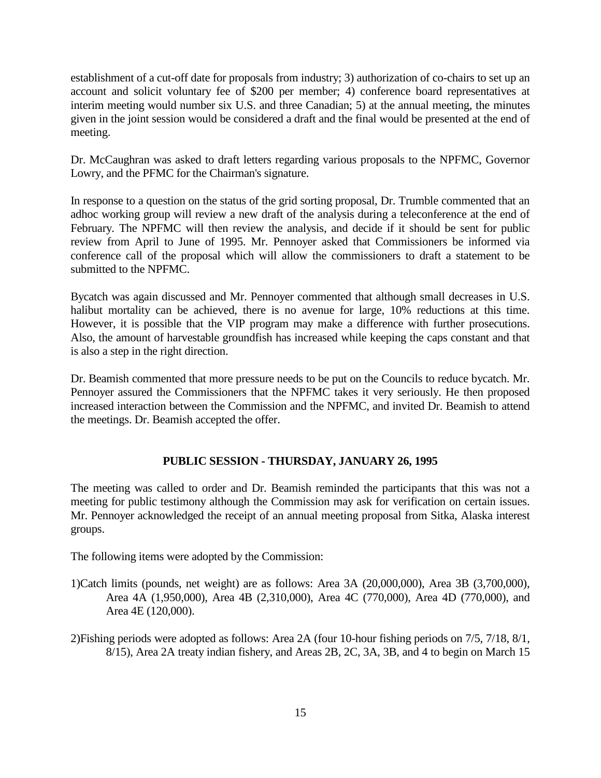establishment of a cut-off date for proposals from industry; 3) authorization of co-chairs to set up an account and solicit voluntary fee of \$200 per member; 4) conference board representatives at interim meeting would number six U.S. and three Canadian; 5) at the annual meeting, the minutes given in the joint session would be considered a draft and the final would be presented at the end of meeting.

Dr. McCaughran was asked to draft letters regarding various proposals to the NPFMC, Governor Lowry, and the PFMC for the Chairman's signature.

In response to a question on the status of the grid sorting proposal, Dr. Trumble commented that an adhoc working group will review a new draft of the analysis during a teleconference at the end of February. The NPFMC will then review the analysis, and decide if it should be sent for public review from April to June of 1995. Mr. Pennoyer asked that Commissioners be informed via conference call of the proposal which will allow the commissioners to draft a statement to be submitted to the NPFMC.

Bycatch was again discussed and Mr. Pennoyer commented that although small decreases in U.S. halibut mortality can be achieved, there is no avenue for large, 10% reductions at this time. However, it is possible that the VIP program may make a difference with further prosecutions. Also, the amount of harvestable groundfish has increased while keeping the caps constant and that is also a step in the right direction.

Dr. Beamish commented that more pressure needs to be put on the Councils to reduce bycatch. Mr. Pennoyer assured the Commissioners that the NPFMC takes it very seriously. He then proposed increased interaction between the Commission and the NPFMC, and invited Dr. Beamish to attend the meetings. Dr. Beamish accepted the offer.

## **PUBLIC SESSION - THURSDAY, JANUARY 26, 1995**

The meeting was called to order and Dr. Beamish reminded the participants that this was not a meeting for public testimony although the Commission may ask for verification on certain issues. Mr. Pennoyer acknowledged the receipt of an annual meeting proposal from Sitka, Alaska interest groups.

The following items were adopted by the Commission:

- 1)Catch limits (pounds, net weight) are as follows: Area 3A (20,000,000), Area 3B (3,700,000), Area 4A (1,950,000), Area 4B (2,310,000), Area 4C (770,000), Area 4D (770,000), and Area 4E (120,000).
- 2)Fishing periods were adopted as follows: Area 2A (four 10-hour fishing periods on 7/5, 7/18, 8/1, 8/15), Area 2A treaty indian fishery, and Areas 2B, 2C, 3A, 3B, and 4 to begin on March 15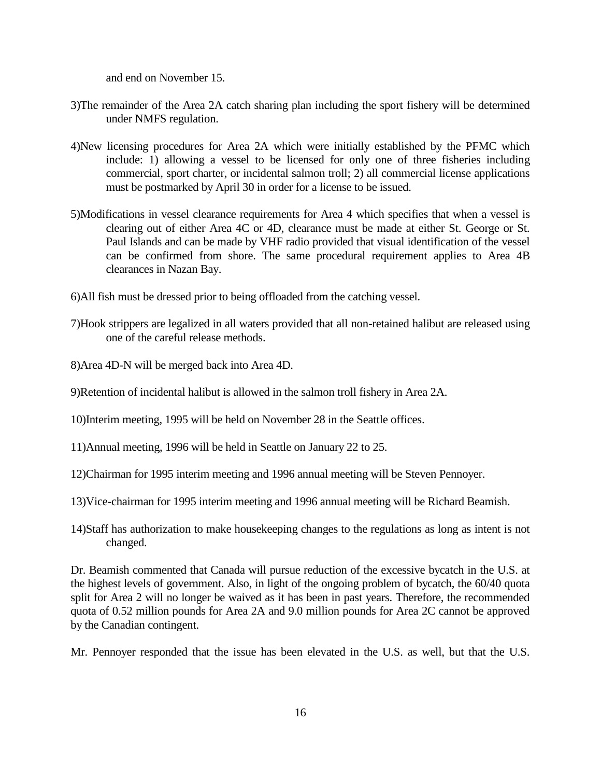and end on November 15.

- 3)The remainder of the Area 2A catch sharing plan including the sport fishery will be determined under NMFS regulation.
- 4)New licensing procedures for Area 2A which were initially established by the PFMC which include: 1) allowing a vessel to be licensed for only one of three fisheries including commercial, sport charter, or incidental salmon troll; 2) all commercial license applications must be postmarked by April 30 in order for a license to be issued.
- 5)Modifications in vessel clearance requirements for Area 4 which specifies that when a vessel is clearing out of either Area 4C or 4D, clearance must be made at either St. George or St. Paul Islands and can be made by VHF radio provided that visual identification of the vessel can be confirmed from shore. The same procedural requirement applies to Area 4B clearances in Nazan Bay.
- 6)All fish must be dressed prior to being offloaded from the catching vessel.
- 7)Hook strippers are legalized in all waters provided that all non-retained halibut are released using one of the careful release methods.
- 8)Area 4D-N will be merged back into Area 4D.
- 9)Retention of incidental halibut is allowed in the salmon troll fishery in Area 2A.
- 10)Interim meeting, 1995 will be held on November 28 in the Seattle offices.
- 11)Annual meeting, 1996 will be held in Seattle on January 22 to 25.
- 12)Chairman for 1995 interim meeting and 1996 annual meeting will be Steven Pennoyer.
- 13)Vice-chairman for 1995 interim meeting and 1996 annual meeting will be Richard Beamish.
- 14)Staff has authorization to make housekeeping changes to the regulations as long as intent is not changed.

Dr. Beamish commented that Canada will pursue reduction of the excessive bycatch in the U.S. at the highest levels of government. Also, in light of the ongoing problem of bycatch, the 60/40 quota split for Area 2 will no longer be waived as it has been in past years. Therefore, the recommended quota of 0.52 million pounds for Area 2A and 9.0 million pounds for Area 2C cannot be approved by the Canadian contingent.

Mr. Pennoyer responded that the issue has been elevated in the U.S. as well, but that the U.S.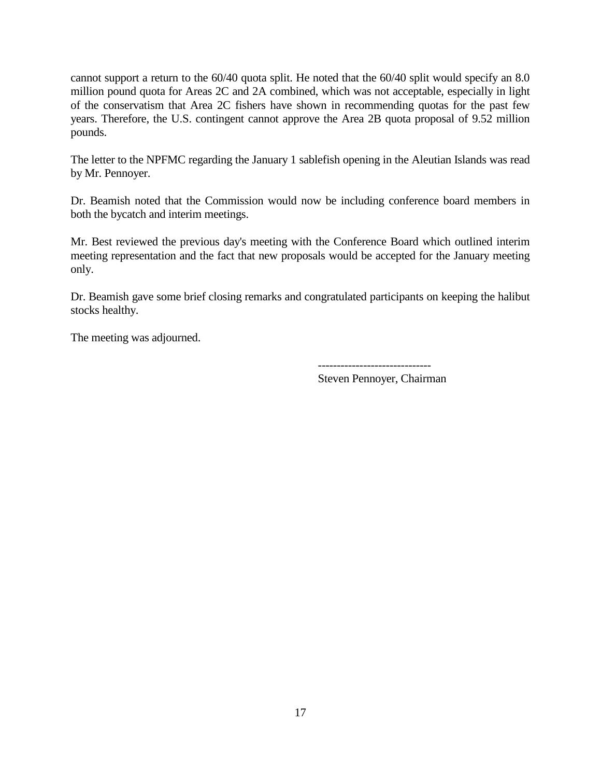cannot support a return to the 60/40 quota split. He noted that the 60/40 split would specify an 8.0 million pound quota for Areas 2C and 2A combined, which was not acceptable, especially in light of the conservatism that Area 2C fishers have shown in recommending quotas for the past few years. Therefore, the U.S. contingent cannot approve the Area 2B quota proposal of 9.52 million pounds.

The letter to the NPFMC regarding the January 1 sablefish opening in the Aleutian Islands was read by Mr. Pennoyer.

Dr. Beamish noted that the Commission would now be including conference board members in both the bycatch and interim meetings.

Mr. Best reviewed the previous day's meeting with the Conference Board which outlined interim meeting representation and the fact that new proposals would be accepted for the January meeting only.

Dr. Beamish gave some brief closing remarks and congratulated participants on keeping the halibut stocks healthy.

The meeting was adjourned.

------------------------------

Steven Pennoyer, Chairman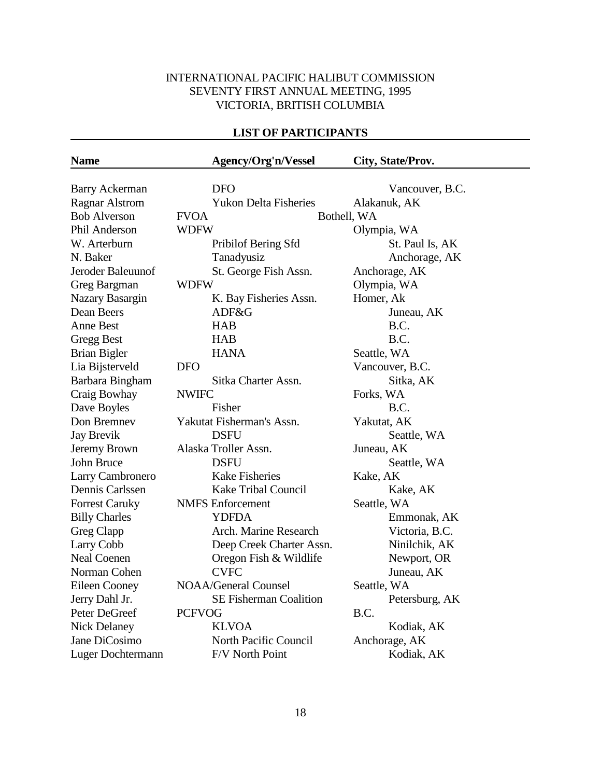# INTERNATIONAL PACIFIC HALIBUT COMMISSION SEVENTY FIRST ANNUAL MEETING, 1995 VICTORIA, BRITISH COLUMBIA

# **LIST OF PARTICIPANTS**

| <b>Name</b>           |               | Agency/Org'n/Vessel           | City, State/Prov. |
|-----------------------|---------------|-------------------------------|-------------------|
|                       |               |                               |                   |
| <b>Barry Ackerman</b> |               | DFO                           | Vancouver, B.C.   |
| <b>Ragnar Alstrom</b> |               | <b>Yukon Delta Fisheries</b>  | Alakanuk, AK      |
| <b>Bob Alverson</b>   | <b>FVOA</b>   |                               | Bothell, WA       |
| Phil Anderson         | <b>WDFW</b>   |                               | Olympia, WA       |
| W. Arterburn          |               | Pribilof Bering Sfd           | St. Paul Is, AK   |
| N. Baker              |               | Tanadyusiz                    | Anchorage, AK     |
| Jeroder Baleuunof     |               | St. George Fish Assn.         | Anchorage, AK     |
| Greg Bargman          | <b>WDFW</b>   |                               | Olympia, WA       |
| Nazary Basargin       |               | K. Bay Fisheries Assn.        | Homer, Ak         |
| Dean Beers            |               | ADF&G                         | Juneau, AK        |
| <b>Anne Best</b>      |               | <b>HAB</b>                    | B.C.              |
| <b>Gregg Best</b>     |               | <b>HAB</b>                    | B.C.              |
| <b>Brian Bigler</b>   |               | <b>HANA</b>                   | Seattle, WA       |
| Lia Bijsterveld       | <b>DFO</b>    |                               | Vancouver, B.C.   |
| Barbara Bingham       |               | Sitka Charter Assn.           | Sitka, AK         |
| Craig Bowhay          | <b>NWIFC</b>  |                               | Forks, WA         |
| Dave Boyles           |               | Fisher                        | B.C.              |
| Don Bremnev           |               | Yakutat Fisherman's Assn.     | Yakutat, AK       |
| <b>Jay Brevik</b>     |               | <b>DSFU</b>                   | Seattle, WA       |
| Jeremy Brown          |               | Alaska Troller Assn.          | Juneau, AK        |
| John Bruce            |               | <b>DSFU</b>                   | Seattle, WA       |
| Larry Cambronero      |               | <b>Kake Fisheries</b>         | Kake, AK          |
| Dennis Carlssen       |               | <b>Kake Tribal Council</b>    | Kake, AK          |
| <b>Forrest Caruky</b> |               | <b>NMFS</b> Enforcement       | Seattle, WA       |
| <b>Billy Charles</b>  |               | <b>YDFDA</b>                  | Emmonak, AK       |
| Greg Clapp            |               | Arch. Marine Research         | Victoria, B.C.    |
| Larry Cobb            |               | Deep Creek Charter Assn.      | Ninilchik, AK     |
| <b>Neal Coenen</b>    |               | Oregon Fish & Wildlife        | Newport, OR       |
| Norman Cohen          |               | <b>CVFC</b>                   | Juneau, AK        |
| Eileen Cooney         |               | <b>NOAA/General Counsel</b>   | Seattle, WA       |
| Jerry Dahl Jr.        |               | <b>SE Fisherman Coalition</b> | Petersburg, AK    |
| Peter DeGreef         | <b>PCFVOG</b> |                               | B.C.              |
| <b>Nick Delaney</b>   |               | <b>KLVOA</b>                  | Kodiak, AK        |
| Jane DiCosimo         |               | North Pacific Council         | Anchorage, AK     |
| Luger Dochtermann     |               | F/V North Point               | Kodiak, AK        |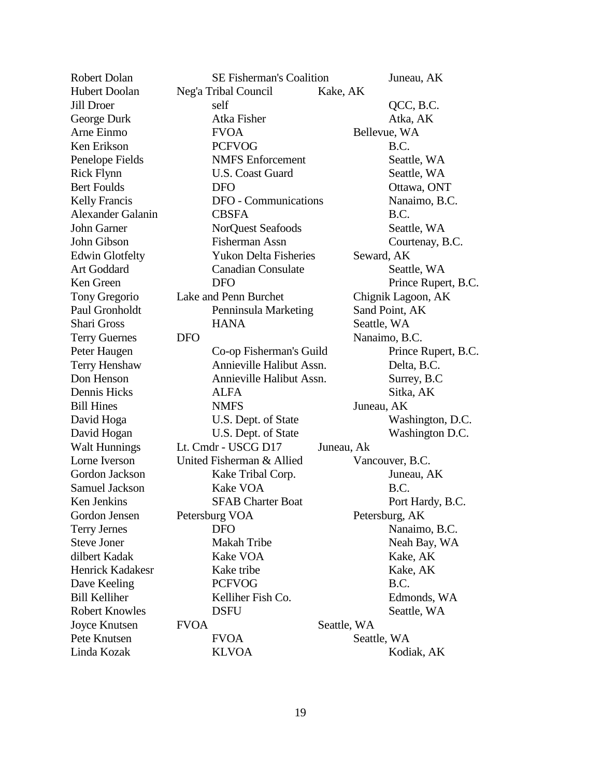| <b>Robert Dolan</b>      | <b>SE Fisherman's Coalition</b> |             | Juneau, AK          |
|--------------------------|---------------------------------|-------------|---------------------|
| <b>Hubert Doolan</b>     | Neg'a Tribal Council            | Kake, AK    |                     |
| <b>Jill Droer</b>        | self                            |             | QCC, B.C.           |
| George Durk              | Atka Fisher                     |             | Atka, AK            |
| Arne Einmo               | <b>FVOA</b>                     |             | Bellevue, WA        |
| Ken Erikson              | <b>PCFVOG</b>                   |             | B.C.                |
| Penelope Fields          | <b>NMFS</b> Enforcement         |             | Seattle, WA         |
| <b>Rick Flynn</b>        | <b>U.S. Coast Guard</b>         |             | Seattle, WA         |
| <b>Bert Foulds</b>       | <b>DFO</b>                      |             | Ottawa, ONT         |
| <b>Kelly Francis</b>     | DFO - Communications            |             | Nanaimo, B.C.       |
| <b>Alexander Galanin</b> | <b>CBSFA</b>                    |             | B.C.                |
| John Garner              | NorQuest Seafoods               |             | Seattle, WA         |
| John Gibson              | Fisherman Assn                  |             | Courtenay, B.C.     |
| <b>Edwin Glotfelty</b>   | <b>Yukon Delta Fisheries</b>    |             | Seward, AK          |
| <b>Art Goddard</b>       | <b>Canadian Consulate</b>       |             | Seattle, WA         |
| Ken Green                | <b>DFO</b>                      |             | Prince Rupert, B.C. |
| Tony Gregorio            | Lake and Penn Burchet           |             | Chignik Lagoon, AK  |
| Paul Gronholdt           | Penninsula Marketing            |             | Sand Point, AK      |
| <b>Shari Gross</b>       | <b>HANA</b>                     |             | Seattle, WA         |
| <b>Terry Guernes</b>     | <b>DFO</b>                      |             | Nanaimo, B.C.       |
| Peter Haugen             | Co-op Fisherman's Guild         |             | Prince Rupert, B.C. |
| Terry Henshaw            | Annieville Halibut Assn.        |             | Delta, B.C.         |
| Don Henson               | Annieville Halibut Assn.        |             | Surrey, B.C         |
| Dennis Hicks             | <b>ALFA</b>                     |             | Sitka, AK           |
| <b>Bill Hines</b>        | <b>NMFS</b>                     |             | Juneau, AK          |
| David Hoga               | U.S. Dept. of State             |             | Washington, D.C.    |
| David Hogan              | U.S. Dept. of State             |             | Washington D.C.     |
| <b>Walt Hunnings</b>     | Lt. Cmdr - USCG D17             | Juneau, Ak  |                     |
| Lorne Iverson            | United Fisherman & Allied       |             | Vancouver, B.C.     |
| Gordon Jackson           | Kake Tribal Corp.               |             | Juneau, AK          |
| Samuel Jackson           | Kake VOA                        |             | B.C.                |
| Ken Jenkins              | <b>SFAB Charter Boat</b>        |             | Port Hardy, B.C.    |
| Gordon Jensen            | Petersburg VOA                  |             | Petersburg, AK      |
| <b>Terry Jernes</b>      | <b>DFO</b>                      |             | Nanaimo, B.C.       |
| <b>Steve Joner</b>       | Makah Tribe                     |             | Neah Bay, WA        |
| dilbert Kadak            | Kake VOA                        |             | Kake, AK            |
| Henrick Kadakesr         | Kake tribe                      |             | Kake, AK            |
| Dave Keeling             | <b>PCFVOG</b>                   |             | B.C.                |
| <b>Bill Kelliher</b>     | Kelliher Fish Co.               |             | Edmonds, WA         |
| <b>Robert Knowles</b>    | <b>DSFU</b>                     |             | Seattle, WA         |
| Joyce Knutsen            | <b>FVOA</b>                     | Seattle, WA |                     |
| Pete Knutsen             | <b>FVOA</b>                     |             | Seattle, WA         |
| Linda Kozak              | <b>KLVOA</b>                    |             | Kodiak, AK          |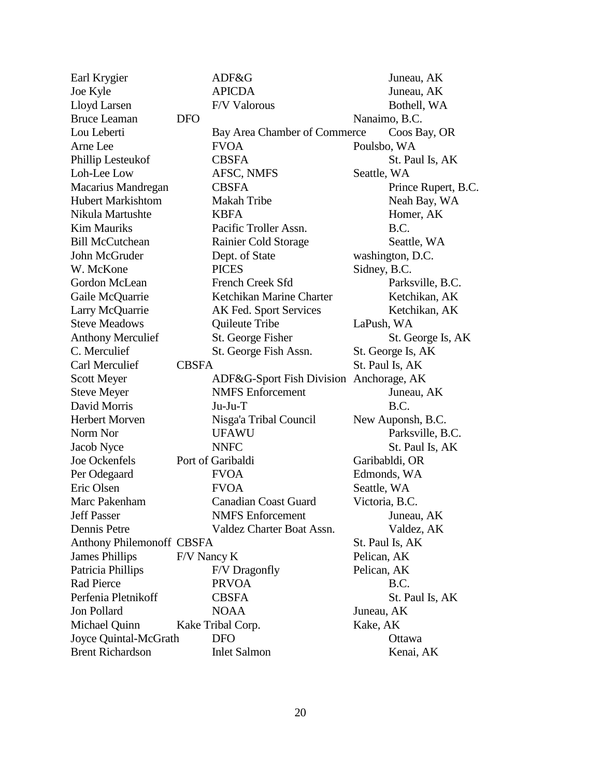| Earl Krygier                     |              | ADF&G                                   | Juneau, AK          |
|----------------------------------|--------------|-----------------------------------------|---------------------|
| Joe Kyle                         |              | <b>APICDA</b>                           | Juneau, AK          |
| Lloyd Larsen                     |              | F/V Valorous                            | Bothell, WA         |
| <b>Bruce Leaman</b>              | <b>DFO</b>   |                                         | Nanaimo, B.C.       |
| Lou Leberti                      |              | Bay Area Chamber of Commerce            | Coos Bay, OR        |
| Arne Lee                         |              | <b>FVOA</b>                             | Poulsbo, WA         |
| Phillip Lesteukof                |              | <b>CBSFA</b>                            | St. Paul Is, AK     |
| Loh-Lee Low                      |              | AFSC, NMFS                              | Seattle, WA         |
| Macarius Mandregan               |              | <b>CBSFA</b>                            | Prince Rupert, B.C. |
| <b>Hubert Markishtom</b>         |              | <b>Makah Tribe</b>                      | Neah Bay, WA        |
| Nikula Martushte                 |              | <b>KBFA</b>                             | Homer, AK           |
| <b>Kim Mauriks</b>               |              | Pacific Troller Assn.                   | B.C.                |
| <b>Bill McCutchean</b>           |              | Rainier Cold Storage                    | Seattle, WA         |
| John McGruder                    |              | Dept. of State                          | washington, D.C.    |
| W. McKone                        |              | <b>PICES</b>                            | Sidney, B.C.        |
| Gordon McLean                    |              | French Creek Sfd                        | Parksville, B.C.    |
| Gaile McQuarrie                  |              | Ketchikan Marine Charter                | Ketchikan, AK       |
| Larry McQuarrie                  |              | AK Fed. Sport Services                  | Ketchikan, AK       |
| <b>Steve Meadows</b>             |              | Quileute Tribe                          | LaPush, WA          |
| <b>Anthony Merculief</b>         |              | St. George Fisher                       | St. George Is, AK   |
| C. Merculief                     |              | St. George Fish Assn.                   | St. George Is, AK   |
| Carl Merculief                   | <b>CBSFA</b> |                                         | St. Paul Is, AK     |
| <b>Scott Meyer</b>               |              | ADF&G-Sport Fish Division Anchorage, AK |                     |
| <b>Steve Meyer</b>               |              | <b>NMFS</b> Enforcement                 | Juneau, AK          |
| David Morris                     |              | Ju-Ju-T                                 | B.C.                |
| <b>Herbert Morven</b>            |              | Nisga'a Tribal Council                  | New Auponsh, B.C.   |
| Norm Nor                         |              | <b>UFAWU</b>                            | Parksville, B.C.    |
| Jacob Nyce                       |              | <b>NNFC</b>                             | St. Paul Is, AK     |
| Joe Ockenfels                    |              | Port of Garibaldi                       | Garibabldi, OR      |
| Per Odegaard                     |              | <b>FVOA</b>                             | Edmonds, WA         |
| Eric Olsen                       |              | <b>FVOA</b>                             | Seattle, WA         |
| Marc Pakenham                    |              | <b>Canadian Coast Guard</b>             | Victoria, B.C.      |
| <b>Jeff Passer</b>               |              | <b>NMFS</b> Enforcement                 | Juneau, AK          |
| Dennis Petre                     |              | Valdez Charter Boat Assn.               | Valdez, AK          |
| <b>Anthony Philemonoff CBSFA</b> |              |                                         | St. Paul Is, AK     |
| <b>James Phillips</b>            | F/V Nancy K  |                                         | Pelican, AK         |
| Patricia Phillips                |              | F/V Dragonfly                           | Pelican, AK         |
| Rad Pierce                       |              | <b>PRVOA</b>                            | B.C.                |
| Perfenia Pletnikoff              |              | <b>CBSFA</b>                            | St. Paul Is, AK     |
| Jon Pollard                      |              | <b>NOAA</b>                             | Juneau, AK          |
| Michael Quinn                    |              | Kake Tribal Corp.                       | Kake, AK            |
| Joyce Quintal-McGrath            |              | <b>DFO</b>                              | Ottawa              |
| <b>Brent Richardson</b>          |              | <b>Inlet Salmon</b>                     | Kenai, AK           |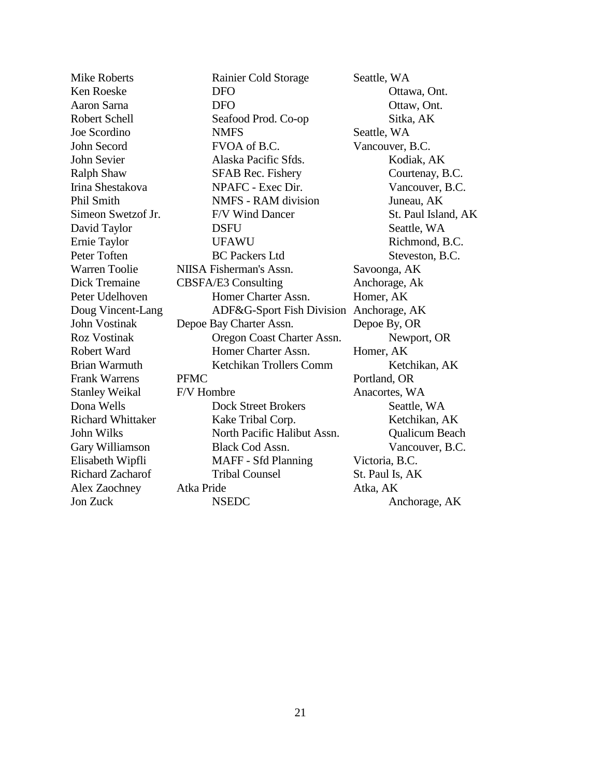Mike Roberts **Rainier Cold Storage** Seattle, WA Ken Roeske **DFO** DFO **Ottawa, Ont.** Aaron Sarna **DFO** DFO Ottaw, Ont. Robert Schell Seafood Prod. Co-op Sitka, AK Joe Scordino MMFS Seattle, WA John Secord FVOA of B.C. Vancouver, B.C. John Sevier Alaska Pacific Sfds. Kodiak, AK Ralph Shaw SFAB Rec. Fishery Courtenay, B.C. Irina Shestakova NPAFC - Exec Dir. Vancouver, B.C. Phil Smith NMFS - RAM division Juneau, AK Simeon Swetzof Jr. F/V Wind Dancer St. Paul Island, AK David Taylor DSFU Seattle, WA Ernie Taylor **Example 19** UFAWU Richmond, B.C. Peter Toften BC Packers Ltd Steveston, B.C. Warren Toolie NIISA Fisherman's Assn. Savoonga, AK Dick Tremaine CBSFA/E3 Consulting Anchorage, Ak Peter Udelhoven Homer Charter Assn. Homer, AK Doug Vincent-Lang ADF&G-Sport Fish Division Anchorage, AK John Vostinak Depoe Bay Charter Assn. Depoe By, OR Roz Vostinak Oregon Coast Charter Assn. Newport, OR Robert Ward **Homer Charter Assn.** Homer, AK Brian Warmuth Ketchikan Trollers Comm Ketchikan, AK Frank Warrens PFMC Portland, OR Stanley Weikal F/V Hombre Anacortes, WA Dona Wells **Dock Street Brokers** Seattle, WA Richard Whittaker Kake Tribal Corp. Ketchikan, AK John Wilks North Pacific Halibut Assn. Qualicum Beach Gary Williamson Black Cod Assn. Vancouver, B.C. Elisabeth Wipfli MAFF - Sfd Planning Victoria, B.C. Richard Zacharof Tribal Counsel St. Paul Is, AK Alex Zaochney Atka Pride Atka, AK

Jon Zuck NSEDC Anchorage, AK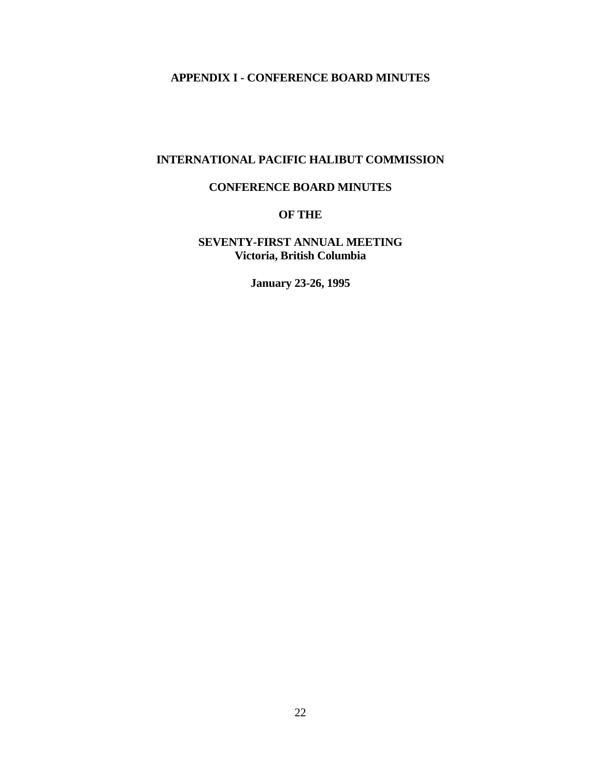# **APPENDIX I - CONFERENCE BOARD MINUTES**

# **INTERNATIONAL PACIFIC HALIBUT COMMISSION**

## **CONFERENCE BOARD MINUTES**

# **OF THE**

# **SEVENTY-FIRST ANNUAL MEETING Victoria, British Columbia**

**January 23-26, 1995**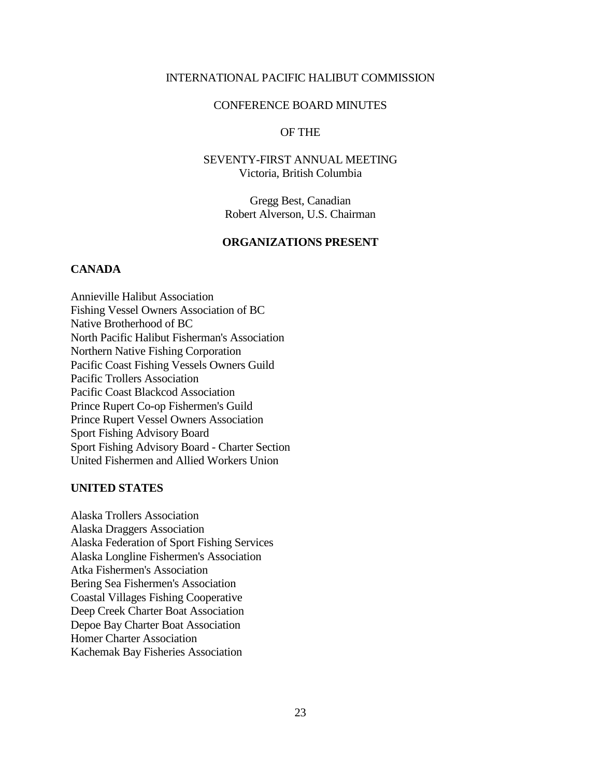## INTERNATIONAL PACIFIC HALIBUT COMMISSION

## CONFERENCE BOARD MINUTES

## OF THE

# SEVENTY-FIRST ANNUAL MEETING Victoria, British Columbia

Gregg Best, Canadian Robert Alverson, U.S. Chairman

#### **ORGANIZATIONS PRESENT**

## **CANADA**

Annieville Halibut Association Fishing Vessel Owners Association of BC Native Brotherhood of BC North Pacific Halibut Fisherman's Association Northern Native Fishing Corporation Pacific Coast Fishing Vessels Owners Guild Pacific Trollers Association Pacific Coast Blackcod Association Prince Rupert Co-op Fishermen's Guild Prince Rupert Vessel Owners Association Sport Fishing Advisory Board Sport Fishing Advisory Board - Charter Section United Fishermen and Allied Workers Union

#### **UNITED STATES**

Alaska Trollers Association Alaska Draggers Association Alaska Federation of Sport Fishing Services Alaska Longline Fishermen's Association Atka Fishermen's Association Bering Sea Fishermen's Association Coastal Villages Fishing Cooperative Deep Creek Charter Boat Association Depoe Bay Charter Boat Association Homer Charter Association Kachemak Bay Fisheries Association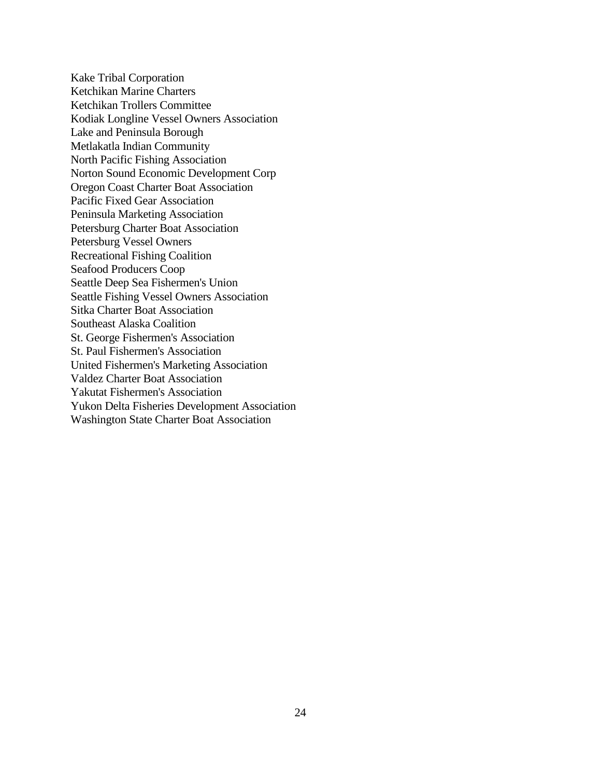Kake Tribal Corporation Ketchikan Marine Charters Ketchikan Trollers Committee Kodiak Longline Vessel Owners Association Lake and Peninsula Borough Metlakatla Indian Community North Pacific Fishing Association Norton Sound Economic Development Corp Oregon Coast Charter Boat Association Pacific Fixed Gear Association Peninsula Marketing Association Petersburg Charter Boat Association Petersburg Vessel Owners Recreational Fishing Coalition Seafood Producers Coop Seattle Deep Sea Fishermen's Union Seattle Fishing Vessel Owners Association Sitka Charter Boat Association Southeast Alaska Coalition St. George Fishermen's Association St. Paul Fishermen's Association United Fishermen's Marketing Association Valdez Charter Boat Association Yakutat Fishermen's Association Yukon Delta Fisheries Development Association Washington State Charter Boat Association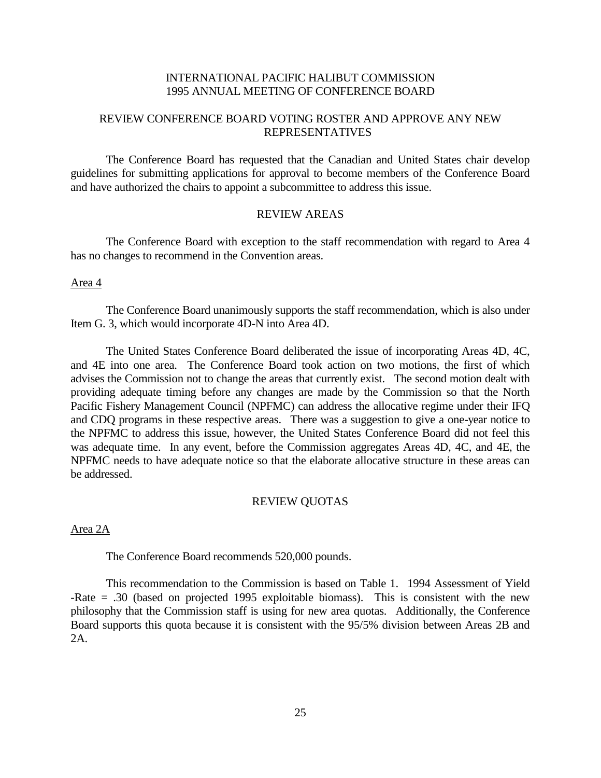## INTERNATIONAL PACIFIC HALIBUT COMMISSION 1995 ANNUAL MEETING OF CONFERENCE BOARD

# REVIEW CONFERENCE BOARD VOTING ROSTER AND APPROVE ANY NEW REPRESENTATIVES

The Conference Board has requested that the Canadian and United States chair develop guidelines for submitting applications for approval to become members of the Conference Board and have authorized the chairs to appoint a subcommittee to address this issue.

#### REVIEW AREAS

The Conference Board with exception to the staff recommendation with regard to Area 4 has no changes to recommend in the Convention areas.

#### Area 4

The Conference Board unanimously supports the staff recommendation, which is also under Item G. 3, which would incorporate 4D-N into Area 4D.

The United States Conference Board deliberated the issue of incorporating Areas 4D, 4C, and 4E into one area. The Conference Board took action on two motions, the first of which advises the Commission not to change the areas that currently exist. The second motion dealt with providing adequate timing before any changes are made by the Commission so that the North Pacific Fishery Management Council (NPFMC) can address the allocative regime under their IFQ and CDQ programs in these respective areas. There was a suggestion to give a one-year notice to the NPFMC to address this issue, however, the United States Conference Board did not feel this was adequate time. In any event, before the Commission aggregates Areas 4D, 4C, and 4E, the NPFMC needs to have adequate notice so that the elaborate allocative structure in these areas can be addressed.

### REVIEW QUOTAS

Area 2A

The Conference Board recommends 520,000 pounds.

This recommendation to the Commission is based on Table 1. 1994 Assessment of Yield -Rate = .30 (based on projected 1995 exploitable biomass). This is consistent with the new philosophy that the Commission staff is using for new area quotas. Additionally, the Conference Board supports this quota because it is consistent with the 95/5% division between Areas 2B and 2A.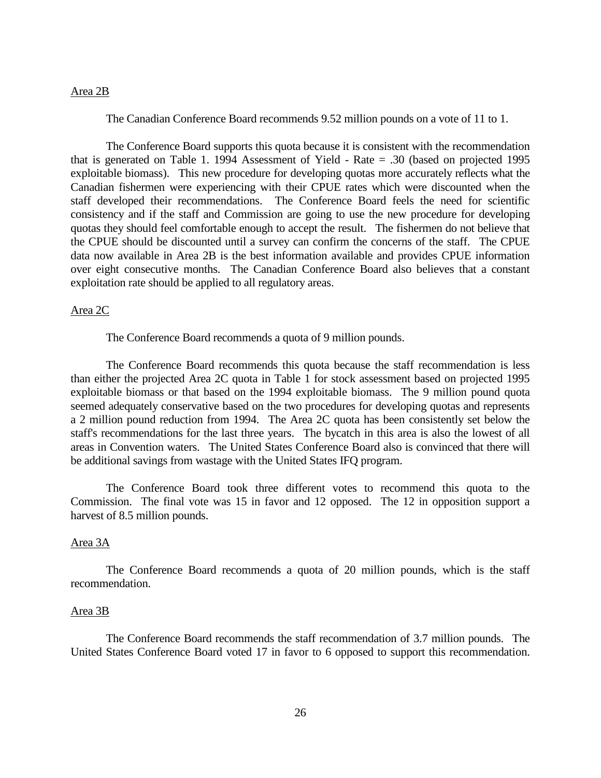### Area 2B

The Canadian Conference Board recommends 9.52 million pounds on a vote of 11 to 1.

The Conference Board supports this quota because it is consistent with the recommendation that is generated on Table 1. 1994 Assessment of Yield - Rate = .30 (based on projected 1995 exploitable biomass). This new procedure for developing quotas more accurately reflects what the Canadian fishermen were experiencing with their CPUE rates which were discounted when the staff developed their recommendations. The Conference Board feels the need for scientific consistency and if the staff and Commission are going to use the new procedure for developing quotas they should feel comfortable enough to accept the result. The fishermen do not believe that the CPUE should be discounted until a survey can confirm the concerns of the staff. The CPUE data now available in Area 2B is the best information available and provides CPUE information over eight consecutive months. The Canadian Conference Board also believes that a constant exploitation rate should be applied to all regulatory areas.

#### Area 2C

The Conference Board recommends a quota of 9 million pounds.

The Conference Board recommends this quota because the staff recommendation is less than either the projected Area 2C quota in Table 1 for stock assessment based on projected 1995 exploitable biomass or that based on the 1994 exploitable biomass. The 9 million pound quota seemed adequately conservative based on the two procedures for developing quotas and represents a 2 million pound reduction from 1994. The Area 2C quota has been consistently set below the staff's recommendations for the last three years. The bycatch in this area is also the lowest of all areas in Convention waters. The United States Conference Board also is convinced that there will be additional savings from wastage with the United States IFQ program.

The Conference Board took three different votes to recommend this quota to the Commission. The final vote was 15 in favor and 12 opposed. The 12 in opposition support a harvest of 8.5 million pounds.

#### Area 3A

The Conference Board recommends a quota of 20 million pounds, which is the staff recommendation.

#### Area 3B

The Conference Board recommends the staff recommendation of 3.7 million pounds. The United States Conference Board voted 17 in favor to 6 opposed to support this recommendation.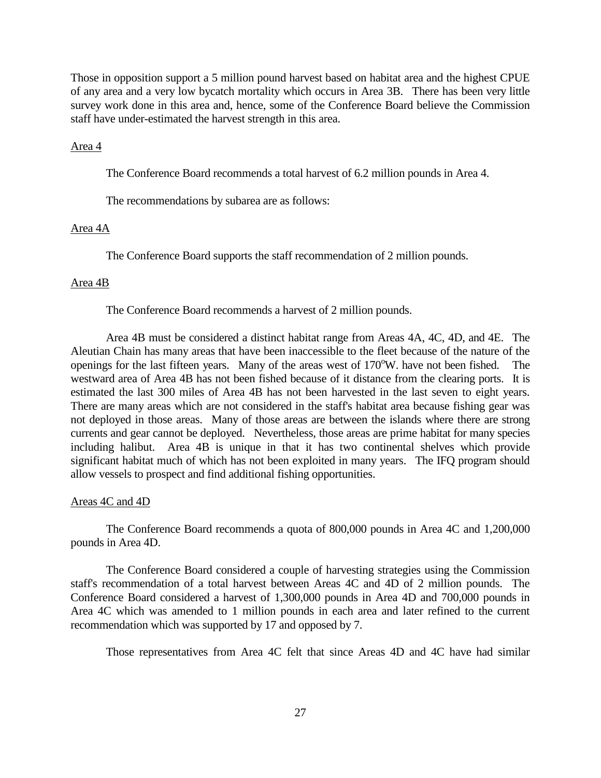Those in opposition support a 5 million pound harvest based on habitat area and the highest CPUE of any area and a very low bycatch mortality which occurs in Area 3B. There has been very little survey work done in this area and, hence, some of the Conference Board believe the Commission staff have under-estimated the harvest strength in this area.

### Area 4

The Conference Board recommends a total harvest of 6.2 million pounds in Area 4.

The recommendations by subarea are as follows:

#### Area 4A

The Conference Board supports the staff recommendation of 2 million pounds.

#### Area 4B

The Conference Board recommends a harvest of 2 million pounds.

Area 4B must be considered a distinct habitat range from Areas 4A, 4C, 4D, and 4E. The Aleutian Chain has many areas that have been inaccessible to the fleet because of the nature of the openings for the last fifteen years. Many of the areas west of 170°W, have not been fished. The westward area of Area 4B has not been fished because of it distance from the clearing ports. It is estimated the last 300 miles of Area 4B has not been harvested in the last seven to eight years. There are many areas which are not considered in the staff's habitat area because fishing gear was not deployed in those areas. Many of those areas are between the islands where there are strong currents and gear cannot be deployed. Nevertheless, those areas are prime habitat for many species including halibut. Area 4B is unique in that it has two continental shelves which provide significant habitat much of which has not been exploited in many years. The IFQ program should allow vessels to prospect and find additional fishing opportunities.

### Areas 4C and 4D

The Conference Board recommends a quota of 800,000 pounds in Area 4C and 1,200,000 pounds in Area 4D.

The Conference Board considered a couple of harvesting strategies using the Commission staff's recommendation of a total harvest between Areas 4C and 4D of 2 million pounds. The Conference Board considered a harvest of 1,300,000 pounds in Area 4D and 700,000 pounds in Area 4C which was amended to 1 million pounds in each area and later refined to the current recommendation which was supported by 17 and opposed by 7.

Those representatives from Area 4C felt that since Areas 4D and 4C have had similar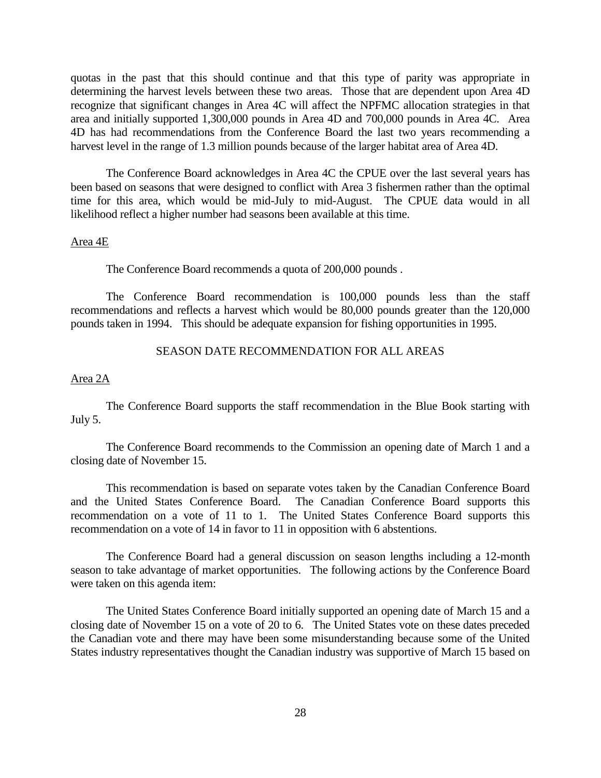quotas in the past that this should continue and that this type of parity was appropriate in determining the harvest levels between these two areas. Those that are dependent upon Area 4D recognize that significant changes in Area 4C will affect the NPFMC allocation strategies in that area and initially supported 1,300,000 pounds in Area 4D and 700,000 pounds in Area 4C. Area 4D has had recommendations from the Conference Board the last two years recommending a harvest level in the range of 1.3 million pounds because of the larger habitat area of Area 4D.

The Conference Board acknowledges in Area 4C the CPUE over the last several years has been based on seasons that were designed to conflict with Area 3 fishermen rather than the optimal time for this area, which would be mid-July to mid-August. The CPUE data would in all likelihood reflect a higher number had seasons been available at this time.

#### Area 4E

The Conference Board recommends a quota of 200,000 pounds .

The Conference Board recommendation is 100,000 pounds less than the staff recommendations and reflects a harvest which would be 80,000 pounds greater than the 120,000 pounds taken in 1994. This should be adequate expansion for fishing opportunities in 1995.

## SEASON DATE RECOMMENDATION FOR ALL AREAS

## Area 2A

The Conference Board supports the staff recommendation in the Blue Book starting with July 5.

The Conference Board recommends to the Commission an opening date of March 1 and a closing date of November 15.

This recommendation is based on separate votes taken by the Canadian Conference Board and the United States Conference Board. The Canadian Conference Board supports this recommendation on a vote of 11 to 1. The United States Conference Board supports this recommendation on a vote of 14 in favor to 11 in opposition with 6 abstentions.

The Conference Board had a general discussion on season lengths including a 12-month season to take advantage of market opportunities. The following actions by the Conference Board were taken on this agenda item:

The United States Conference Board initially supported an opening date of March 15 and a closing date of November 15 on a vote of 20 to 6. The United States vote on these dates preceded the Canadian vote and there may have been some misunderstanding because some of the United States industry representatives thought the Canadian industry was supportive of March 15 based on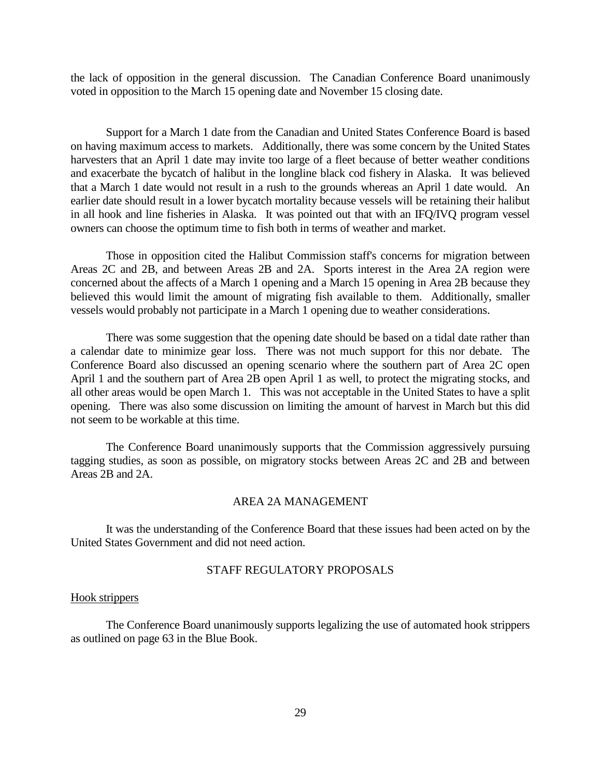the lack of opposition in the general discussion. The Canadian Conference Board unanimously voted in opposition to the March 15 opening date and November 15 closing date.

Support for a March 1 date from the Canadian and United States Conference Board is based on having maximum access to markets. Additionally, there was some concern by the United States harvesters that an April 1 date may invite too large of a fleet because of better weather conditions and exacerbate the bycatch of halibut in the longline black cod fishery in Alaska. It was believed that a March 1 date would not result in a rush to the grounds whereas an April 1 date would. An earlier date should result in a lower bycatch mortality because vessels will be retaining their halibut in all hook and line fisheries in Alaska. It was pointed out that with an IFQ/IVQ program vessel owners can choose the optimum time to fish both in terms of weather and market.

Those in opposition cited the Halibut Commission staff's concerns for migration between Areas 2C and 2B, and between Areas 2B and 2A. Sports interest in the Area 2A region were concerned about the affects of a March 1 opening and a March 15 opening in Area 2B because they believed this would limit the amount of migrating fish available to them. Additionally, smaller vessels would probably not participate in a March 1 opening due to weather considerations.

There was some suggestion that the opening date should be based on a tidal date rather than a calendar date to minimize gear loss. There was not much support for this nor debate. The Conference Board also discussed an opening scenario where the southern part of Area 2C open April 1 and the southern part of Area 2B open April 1 as well, to protect the migrating stocks, and all other areas would be open March 1. This was not acceptable in the United States to have a split opening. There was also some discussion on limiting the amount of harvest in March but this did not seem to be workable at this time.

The Conference Board unanimously supports that the Commission aggressively pursuing tagging studies, as soon as possible, on migratory stocks between Areas 2C and 2B and between Areas 2B and 2A.

### AREA 2A MANAGEMENT

It was the understanding of the Conference Board that these issues had been acted on by the United States Government and did not need action.

#### STAFF REGULATORY PROPOSALS

#### Hook strippers

The Conference Board unanimously supports legalizing the use of automated hook strippers as outlined on page 63 in the Blue Book.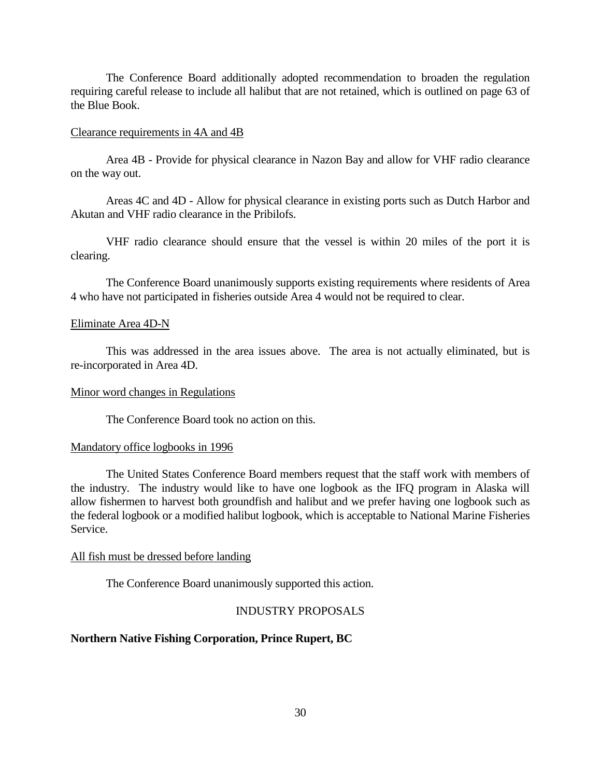The Conference Board additionally adopted recommendation to broaden the regulation requiring careful release to include all halibut that are not retained, which is outlined on page 63 of the Blue Book.

#### Clearance requirements in 4A and 4B

Area 4B - Provide for physical clearance in Nazon Bay and allow for VHF radio clearance on the way out.

Areas 4C and 4D - Allow for physical clearance in existing ports such as Dutch Harbor and Akutan and VHF radio clearance in the Pribilofs.

VHF radio clearance should ensure that the vessel is within 20 miles of the port it is clearing.

The Conference Board unanimously supports existing requirements where residents of Area 4 who have not participated in fisheries outside Area 4 would not be required to clear.

#### Eliminate Area 4D-N

This was addressed in the area issues above. The area is not actually eliminated, but is re-incorporated in Area 4D.

#### Minor word changes in Regulations

The Conference Board took no action on this.

## Mandatory office logbooks in 1996

The United States Conference Board members request that the staff work with members of the industry. The industry would like to have one logbook as the IFQ program in Alaska will allow fishermen to harvest both groundfish and halibut and we prefer having one logbook such as the federal logbook or a modified halibut logbook, which is acceptable to National Marine Fisheries Service.

#### All fish must be dressed before landing

The Conference Board unanimously supported this action.

## INDUSTRY PROPOSALS

## **Northern Native Fishing Corporation, Prince Rupert, BC**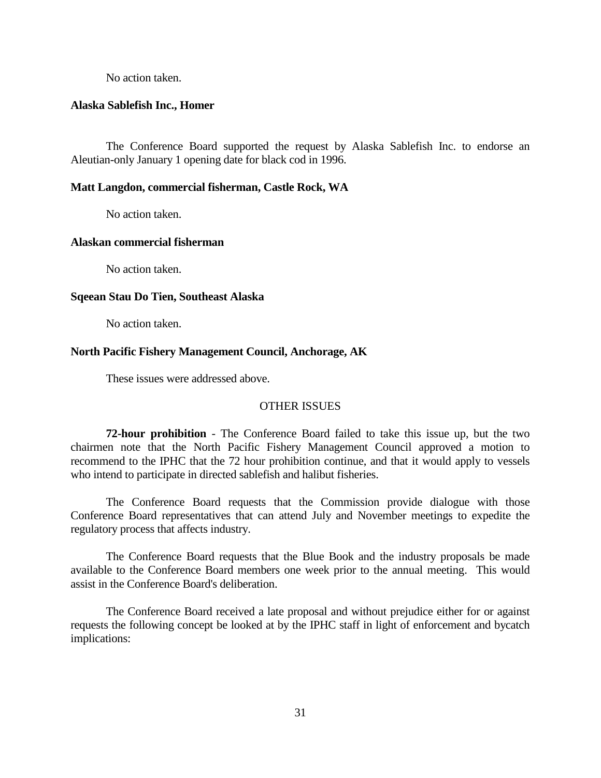No action taken.

#### **Alaska Sablefish Inc., Homer**

The Conference Board supported the request by Alaska Sablefish Inc. to endorse an Aleutian-only January 1 opening date for black cod in 1996.

#### **Matt Langdon, commercial fisherman, Castle Rock, WA**

No action taken.

#### **Alaskan commercial fisherman**

No action taken.

#### **Sqeean Stau Do Tien, Southeast Alaska**

No action taken.

## **North Pacific Fishery Management Council, Anchorage, AK**

These issues were addressed above.

#### OTHER ISSUES

**72-hour prohibition** - The Conference Board failed to take this issue up, but the two chairmen note that the North Pacific Fishery Management Council approved a motion to recommend to the IPHC that the 72 hour prohibition continue, and that it would apply to vessels who intend to participate in directed sablefish and halibut fisheries.

The Conference Board requests that the Commission provide dialogue with those Conference Board representatives that can attend July and November meetings to expedite the regulatory process that affects industry.

The Conference Board requests that the Blue Book and the industry proposals be made available to the Conference Board members one week prior to the annual meeting. This would assist in the Conference Board's deliberation.

The Conference Board received a late proposal and without prejudice either for or against requests the following concept be looked at by the IPHC staff in light of enforcement and bycatch implications: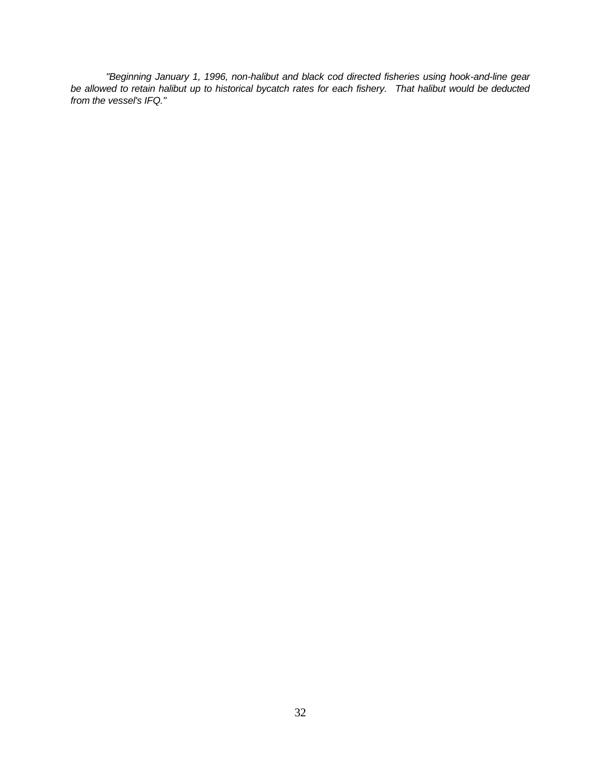*"Beginning January 1, 1996, non-halibut and black cod directed fisheries using hook-and-line gear be allowed to retain halibut up to historical bycatch rates for each fishery. That halibut would be deducted from the vessel's IFQ."*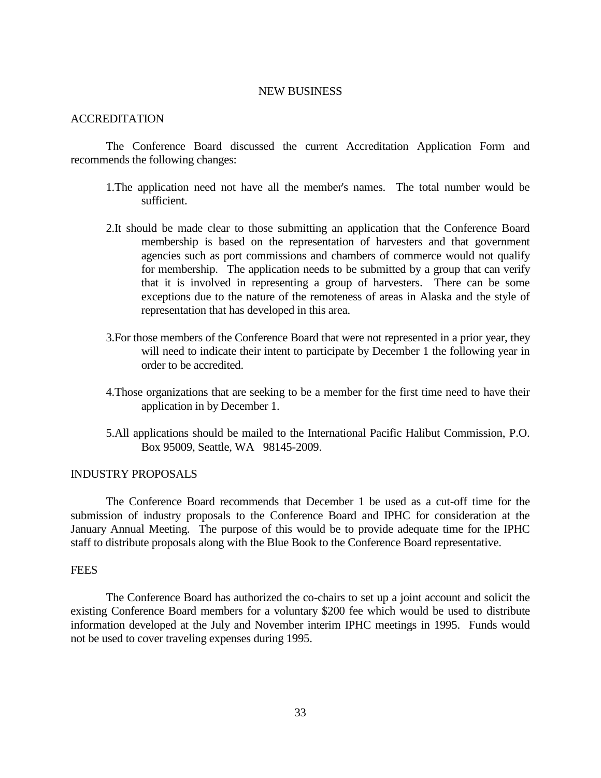### NEW BUSINESS

#### ACCREDITATION

The Conference Board discussed the current Accreditation Application Form and recommends the following changes:

- 1.The application need not have all the member's names. The total number would be sufficient.
- 2.It should be made clear to those submitting an application that the Conference Board membership is based on the representation of harvesters and that government agencies such as port commissions and chambers of commerce would not qualify for membership. The application needs to be submitted by a group that can verify that it is involved in representing a group of harvesters. There can be some exceptions due to the nature of the remoteness of areas in Alaska and the style of representation that has developed in this area.
- 3.For those members of the Conference Board that were not represented in a prior year, they will need to indicate their intent to participate by December 1 the following year in order to be accredited.
- 4.Those organizations that are seeking to be a member for the first time need to have their application in by December 1.
- 5.All applications should be mailed to the International Pacific Halibut Commission, P.O. Box 95009, Seattle, WA 98145-2009.

#### INDUSTRY PROPOSALS

The Conference Board recommends that December 1 be used as a cut-off time for the submission of industry proposals to the Conference Board and IPHC for consideration at the January Annual Meeting. The purpose of this would be to provide adequate time for the IPHC staff to distribute proposals along with the Blue Book to the Conference Board representative.

## **FEES**

The Conference Board has authorized the co-chairs to set up a joint account and solicit the existing Conference Board members for a voluntary \$200 fee which would be used to distribute information developed at the July and November interim IPHC meetings in 1995. Funds would not be used to cover traveling expenses during 1995.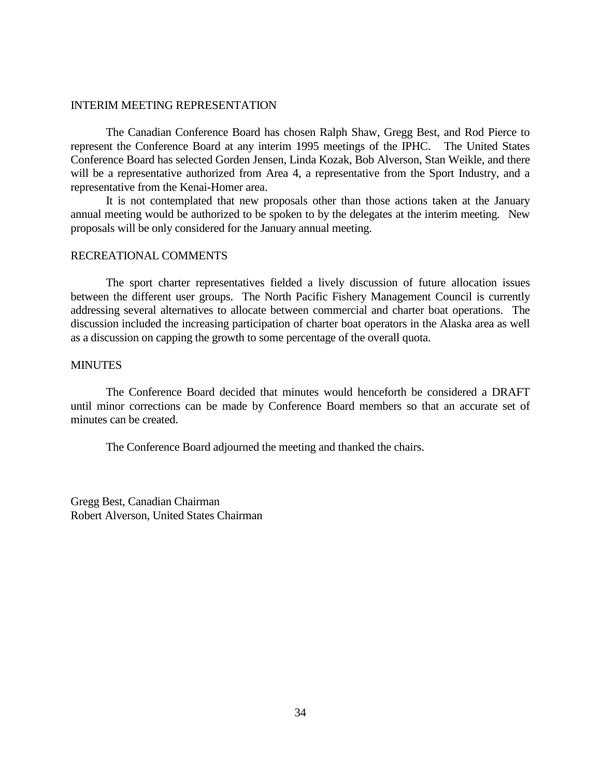### INTERIM MEETING REPRESENTATION

The Canadian Conference Board has chosen Ralph Shaw, Gregg Best, and Rod Pierce to represent the Conference Board at any interim 1995 meetings of the IPHC. The United States Conference Board has selected Gorden Jensen, Linda Kozak, Bob Alverson, Stan Weikle, and there will be a representative authorized from Area 4, a representative from the Sport Industry, and a representative from the Kenai-Homer area.

It is not contemplated that new proposals other than those actions taken at the January annual meeting would be authorized to be spoken to by the delegates at the interim meeting. New proposals will be only considered for the January annual meeting.

#### RECREATIONAL COMMENTS

The sport charter representatives fielded a lively discussion of future allocation issues between the different user groups. The North Pacific Fishery Management Council is currently addressing several alternatives to allocate between commercial and charter boat operations. The discussion included the increasing participation of charter boat operators in the Alaska area as well as a discussion on capping the growth to some percentage of the overall quota.

## **MINUTES**

The Conference Board decided that minutes would henceforth be considered a DRAFT until minor corrections can be made by Conference Board members so that an accurate set of minutes can be created.

The Conference Board adjourned the meeting and thanked the chairs.

Gregg Best, Canadian Chairman Robert Alverson, United States Chairman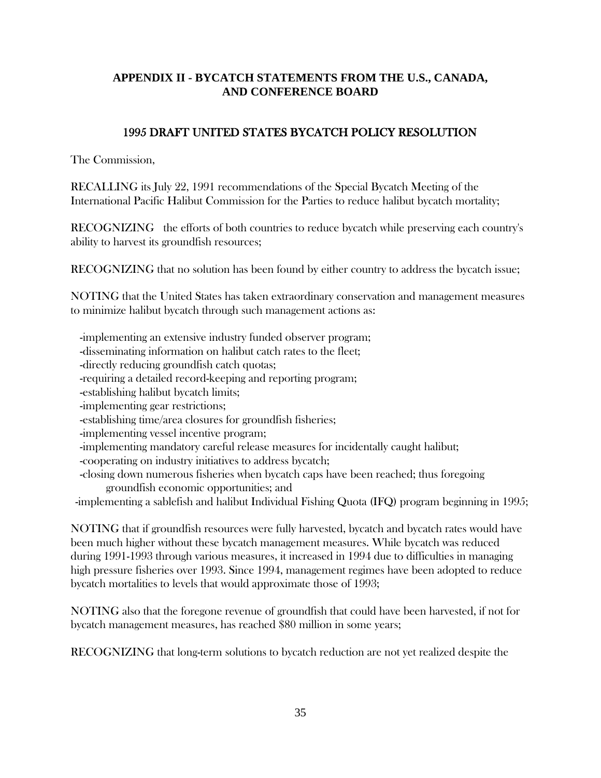# **APPENDIX II - BYCATCH STATEMENTS FROM THE U.S., CANADA, AND CONFERENCE BOARD**

# 1995 DRAFT UNITED STATES BYCATCH POLICY RESOLUTION

The Commission,

RECALLING its July 22, 1991 recommendations of the Special Bycatch Meeting of the International Pacific Halibut Commission for the Parties to reduce halibut bycatch mortality;

RECOGNIZING the efforts of both countries to reduce bycatch while preserving each country's ability to harvest its groundfish resources;

RECOGNIZING that no solution has been found by either country to address the bycatch issue;

NOTING that the United States has taken extraordinary conservation and management measures to minimize halibut bycatch through such management actions as:

-implementing an extensive industry funded observer program;

- -disseminating information on halibut catch rates to the fleet;
- -directly reducing groundfish catch quotas;
- -requiring a detailed record-keeping and reporting program;
- -establishing halibut bycatch limits;
- -implementing gear restrictions;
- -establishing time/area closures for groundfish fisheries;
- -implementing vessel incentive program;
- -implementing mandatory careful release measures for incidentally caught halibut;
- -cooperating on industry initiatives to address bycatch;
- -closing down numerous fisheries when bycatch caps have been reached; thus foregoing groundfish economic opportunities; and

-implementing a sablefish and halibut Individual Fishing Quota (IFQ) program beginning in 1995;

NOTING that if groundfish resources were fully harvested, bycatch and bycatch rates would have been much higher without these bycatch management measures. While bycatch was reduced during 1991-1993 through various measures, it increased in 1994 due to difficulties in managing high pressure fisheries over 1993. Since 1994, management regimes have been adopted to reduce bycatch mortalities to levels that would approximate those of 1993;

NOTING also that the foregone revenue of groundfish that could have been harvested, if not for bycatch management measures, has reached \$80 million in some years;

RECOGNIZING that long-term solutions to bycatch reduction are not yet realized despite the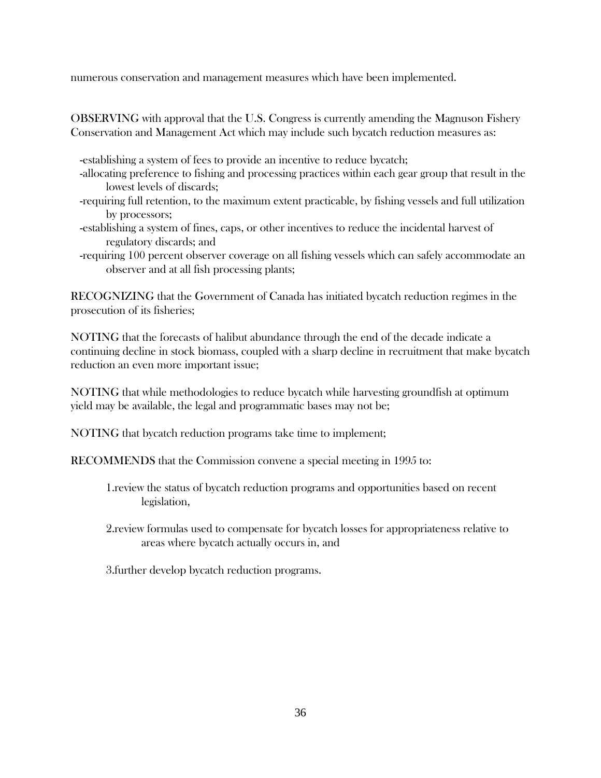numerous conservation and management measures which have been implemented.

OBSERVING with approval that the U.S. Congress is currently amending the Magnuson Fishery Conservation and Management Act which may include such bycatch reduction measures as:

- -establishing a system of fees to provide an incentive to reduce bycatch;
- -allocating preference to fishing and processing practices within each gear group that result in the lowest levels of discards;
- -requiring full retention, to the maximum extent practicable, by fishing vessels and full utilization by processors;
- -establishing a system of fines, caps, or other incentives to reduce the incidental harvest of regulatory discards; and
- -requiring 100 percent observer coverage on all fishing vessels which can safely accommodate an observer and at all fish processing plants;

RECOGNIZING that the Government of Canada has initiated bycatch reduction regimes in the prosecution of its fisheries;

NOTING that the forecasts of halibut abundance through the end of the decade indicate a continuing decline in stock biomass, coupled with a sharp decline in recruitment that make bycatch reduction an even more important issue;

NOTING that while methodologies to reduce bycatch while harvesting groundfish at optimum yield may be available, the legal and programmatic bases may not be;

NOTING that bycatch reduction programs take time to implement;

RECOMMENDS that the Commission convene a special meeting in 1995 to:

- 1.review the status of bycatch reduction programs and opportunities based on recent legislation,
- 2.review formulas used to compensate for bycatch losses for appropriateness relative to areas where bycatch actually occurs in, and

3.further develop bycatch reduction programs.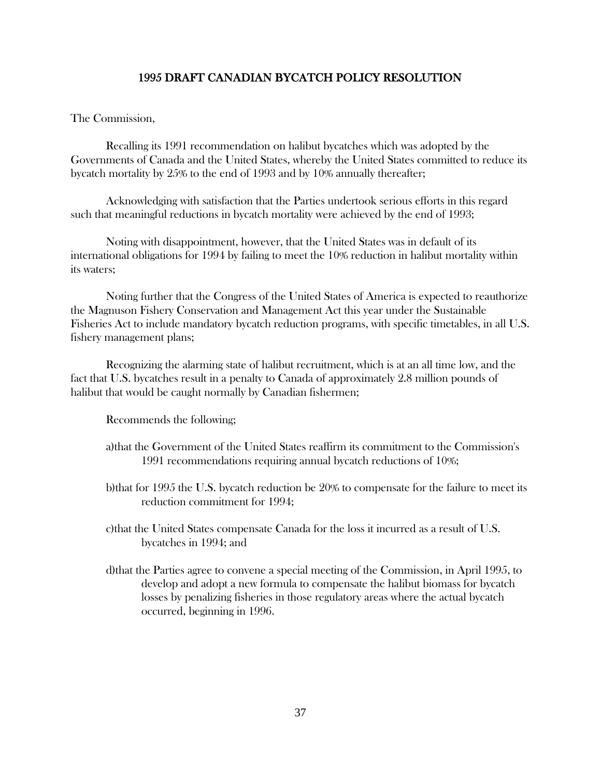## 1995 DRAFT CANADIAN BYCATCH POLICY RESOLUTION

## The Commission,

Recalling its 1991 recommendation on halibut bycatches which was adopted by the Governments of Canada and the United States, whereby the United States committed to reduce its bycatch mortality by 25% to the end of 1993 and by 10% annually thereafter;

Acknowledging with satisfaction that the Parties undertook serious efforts in this regard such that meaningful reductions in bycatch mortality were achieved by the end of 1993;

Noting with disappointment, however, that the United States was in default of its international obligations for 1994 by failing to meet the 10% reduction in halibut mortality within its waters;

Noting further that the Congress of the United States of America is expected to reauthorize the Magnuson Fishery Conservation and Management Act this year under the Sustainable Fisheries Act to include mandatory bycatch reduction programs, with specific timetables, in all U.S. fishery management plans;

Recognizing the alarming state of halibut recruitment, which is at an all time low, and the fact that U.S. bycatches result in a penalty to Canada of approximately 2.8 million pounds of halibut that would be caught normally by Canadian fishermen;

Recommends the following;

- a)that the Government of the United States reaffirm its commitment to the Commission's 1991 recommendations requiring annual bycatch reductions of 10%;
- b)that for 1995 the U.S. bycatch reduction be 20% to compensate for the failure to meet its reduction commitment for 1994;
- c)that the United States compensate Canada for the loss it incurred as a result of U.S. bycatches in 1994; and
- d)that the Parties agree to convene a special meeting of the Commission, in April 1995, to develop and adopt a new formula to compensate the halibut biomass for bycatch losses by penalizing fisheries in those regulatory areas where the actual bycatch occurred, beginning in 1996.